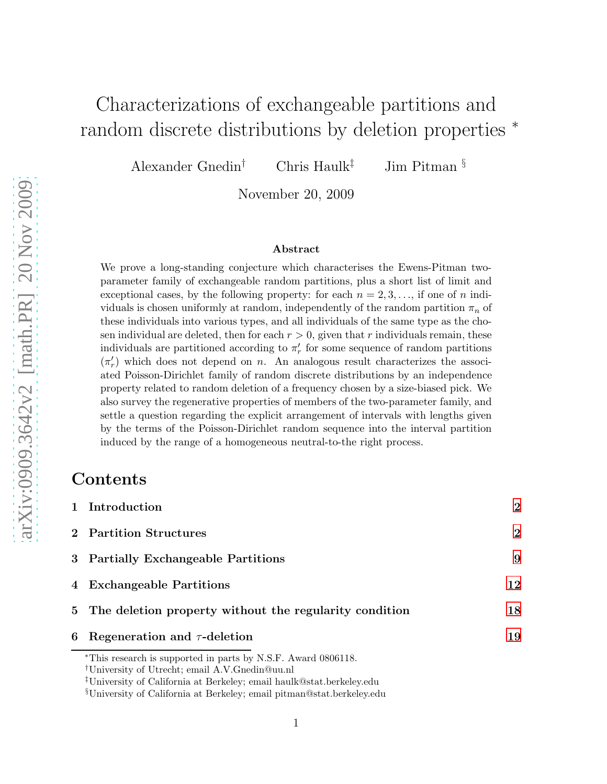# Characterizations of exchangeable partitions and random discrete distributions by deletion properties <sup>∗</sup>

Alexander Gnedin<sup>†</sup> Chris Haulk<sup>‡</sup> Jim Pitman §

November 20, 2009

#### Abstract

We prove a long-standing conjecture which characterises the Ewens-Pitman twoparameter family of exchangeable random partitions, plus a short list of limit and exceptional cases, by the following property: for each  $n = 2, 3, \ldots$ , if one of n individuals is chosen uniformly at random, independently of the random partition  $\pi_n$  of these individuals into various types, and all individuals of the same type as the chosen individual are deleted, then for each  $r > 0$ , given that r individuals remain, these individuals are partitioned according to  $\pi'_r$  for some sequence of random partitions  $(\pi_r')$  which does not depend on n. An analogous result characterizes the associated Poisson-Dirichlet family of random discrete distributions by an independence property related to random deletion of a frequency chosen by a size-biased pick. We also survey the regenerative properties of members of the two-parameter family, and settle a question regarding the explicit arrangement of intervals with lengths given by the terms of the Poisson-Dirichlet random sequence into the interval partition induced by the range of a homogeneous neutral-to-the right process.

#### Contents

|   | *This research is supported in parts by N.S.F. Award 0806118.<br>$\text{11}$ lnivorsity of IItrocht: omail A V Cnodin@uu pl |                |
|---|-----------------------------------------------------------------------------------------------------------------------------|----------------|
| 6 | Regeneration and $\tau$ -deletion                                                                                           | 19             |
|   | 5 The deletion property without the regularity condition                                                                    | 18             |
|   | 4 Exchangeable Partitions                                                                                                   | 12             |
|   | 3 Partially Exchangeable Partitions                                                                                         | 9              |
|   | 2 Partition Structures                                                                                                      | $\overline{2}$ |
|   | 1 Introduction                                                                                                              | $\overline{2}$ |

<sup>†</sup>University of Utrecht; email A.V.Gnedin@uu.nl

<sup>‡</sup>University of California at Berkeley; email haulk@stat.berkeley.edu

<sup>§</sup>University of California at Berkeley; email pitman@stat.berkeley.edu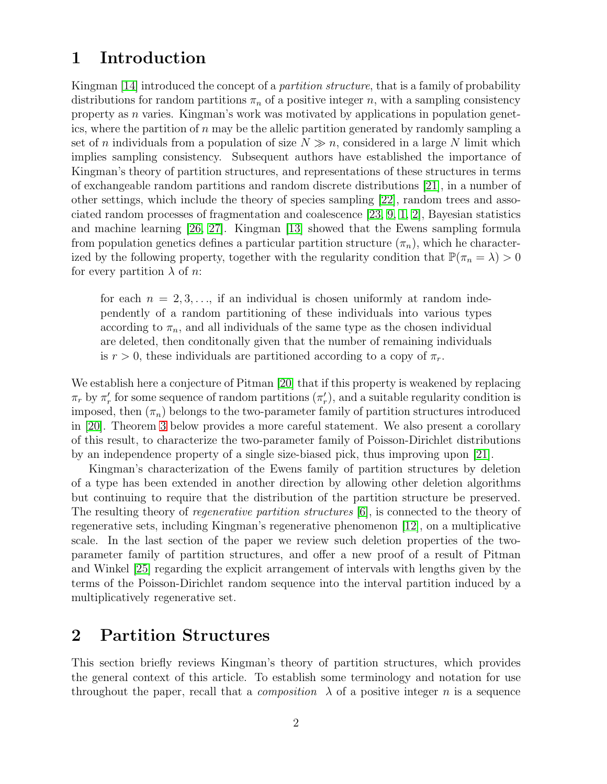#### <span id="page-1-0"></span>1 Introduction

Kingman [\[14\]](#page-27-0) introduced the concept of a *partition structure*, that is a family of probability distributions for random partitions  $\pi_n$  of a positive integer n, with a sampling consistency property as  $n$  varies. Kingman's work was motivated by applications in population genetics, where the partition of  $n$  may be the allelic partition generated by randomly sampling a set of n individuals from a population of size  $N \gg n$ , considered in a large N limit which implies sampling consistency. Subsequent authors have established the importance of Kingman's theory of partition structures, and representations of these structures in terms of exchangeable random partitions and random discrete distributions [\[21\]](#page-27-1), in a number of other settings, which include the theory of species sampling [\[22\]](#page-27-2), random trees and associated random processes of fragmentation and coalescence [\[23,](#page-27-3) [9,](#page-26-0) [1,](#page-26-1) [2\]](#page-26-2), Bayesian statistics and machine learning [\[26,](#page-27-4) [27\]](#page-28-0). Kingman [\[13\]](#page-27-5) showed that the Ewens sampling formula from population genetics defines a particular partition structure  $(\pi_n)$ , which he characterized by the following property, together with the regularity condition that  $\mathbb{P}(\pi_n = \lambda) > 0$ for every partition  $\lambda$  of *n*:

for each  $n = 2, 3, \ldots$ , if an individual is chosen uniformly at random independently of a random partitioning of these individuals into various types according to  $\pi_n$ , and all individuals of the same type as the chosen individual are deleted, then conditonally given that the number of remaining individuals is  $r > 0$ , these individuals are partitioned according to a copy of  $\pi_r$ .

We establish here a conjecture of Pitman [\[20\]](#page-27-6) that if this property is weakened by replacing  $\pi_r$  by  $\pi'_r$  for some sequence of random partitions  $(\pi'_r)$ , and a suitable regularity condition is imposed, then  $(\pi_n)$  belongs to the two-parameter family of partition structures introduced in [\[20\]](#page-27-6). Theorem [3](#page-6-0) below provides a more careful statement. We also present a corollary of this result, to characterize the two-parameter family of Poisson-Dirichlet distributions by an independence property of a single size-biased pick, thus improving upon [\[21\]](#page-27-1).

Kingman's characterization of the Ewens family of partition structures by deletion of a type has been extended in another direction by allowing other deletion algorithms but continuing to require that the distribution of the partition structure be preserved. The resulting theory of *regenerative partition structures* [\[6\]](#page-26-3), is connected to the theory of regenerative sets, including Kingman's regenerative phenomenon [\[12\]](#page-26-4), on a multiplicative scale. In the last section of the paper we review such deletion properties of the twoparameter family of partition structures, and offer a new proof of a result of Pitman and Winkel [\[25\]](#page-27-7) regarding the explicit arrangement of intervals with lengths given by the terms of the Poisson-Dirichlet random sequence into the interval partition induced by a multiplicatively regenerative set.

### <span id="page-1-1"></span>2 Partition Structures

This section briefly reviews Kingman's theory of partition structures, which provides the general context of this article. To establish some terminology and notation for use throughout the paper, recall that a *composition*  $\lambda$  of a positive integer n is a sequence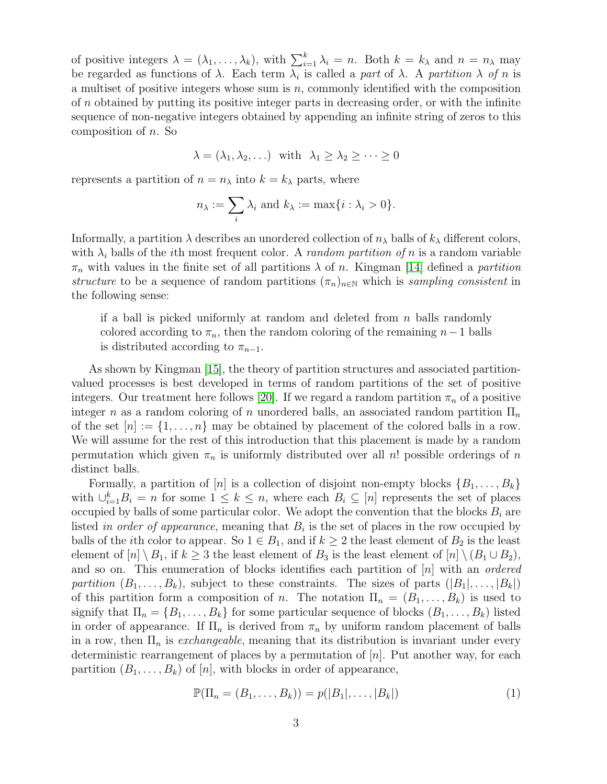of positive integers  $\lambda = (\lambda_1, \ldots, \lambda_k)$ , with  $\sum_{i=1}^k \lambda_i = n$ . Both  $k = k_\lambda$  and  $n = n_\lambda$  may be regarded as functions of  $\lambda$ . Each term  $\lambda_i$  is called a *part* of  $\lambda$ . A *partition*  $\lambda$  *of n* is a multiset of positive integers whose sum is  $n$ , commonly identified with the composition of  $n$  obtained by putting its positive integer parts in decreasing order, or with the infinite sequence of non-negative integers obtained by appending an infinite string of zeros to this composition of n. So

$$
\lambda = (\lambda_1, \lambda_2, \ldots) \quad \text{with} \quad \lambda_1 \ge \lambda_2 \ge \cdots \ge 0
$$

represents a partition of  $n = n_{\lambda}$  into  $k = k_{\lambda}$  parts, where

$$
n_{\lambda} := \sum_{i} \lambda_{i} \text{ and } k_{\lambda} := \max\{i : \lambda_{i} > 0\}.
$$

Informally, a partition  $\lambda$  describes an unordered collection of  $n_{\lambda}$  balls of  $k_{\lambda}$  different colors, with  $\lambda_i$  balls of the *i*th most frequent color. A *random partition of n* is a random variable  $\pi_n$  with values in the finite set of all partitions  $\lambda$  of n. Kingman [\[14\]](#page-27-0) defined a *partition structure* to be a sequence of random partitions  $(\pi_n)_{n\in\mathbb{N}}$  which is *sampling consistent* in the following sense:

if a ball is picked uniformly at random and deleted from  $n$  balls randomly colored according to  $\pi_n$ , then the random coloring of the remaining  $n-1$  balls is distributed according to  $\pi_{n-1}$ .

As shown by Kingman [\[15\]](#page-27-8), the theory of partition structures and associated partitionvalued processes is best developed in terms of random partitions of the set of positive integers. Our treatment here follows [\[20\]](#page-27-6). If we regard a random partition  $\pi_n$  of a positive integer n as a random coloring of n unordered balls, an associated random partition  $\Pi_n$ of the set  $[n] := \{1, \ldots, n\}$  may be obtained by placement of the colored balls in a row. We will assume for the rest of this introduction that this placement is made by a random permutation which given  $\pi_n$  is uniformly distributed over all n! possible orderings of n distinct balls.

Formally, a partition of [n] is a collection of disjoint non-empty blocks  $\{B_1, \ldots, B_k\}$ with  $\bigcup_{i=1}^k B_i = n$  for some  $1 \leq k \leq n$ , where each  $B_i \subseteq [n]$  represents the set of places occupied by balls of some particular color. We adopt the convention that the blocks  $B_i$  are listed *in order of appearance*, meaning that  $B_i$  is the set of places in the row occupied by balls of the *i*th color to appear. So  $1 \in B_1$ , and if  $k \geq 2$  the least element of  $B_2$  is the least element of  $[n] \ B_1$ , if  $k \geq 3$  the least element of B<sub>3</sub> is the least element of  $[n] \ (B_1 \cup B_2)$ , and so on. This enumeration of blocks identifies each partition of [n] with an *ordered partition*  $(B_1, \ldots, B_k)$ , subject to these constraints. The sizes of parts  $(|B_1|, \ldots, |B_k|)$ of this partition form a composition of n. The notation  $\Pi_n = (B_1, \ldots, B_k)$  is used to signify that  $\Pi_n = \{B_1, \ldots, B_k\}$  for some particular sequence of blocks  $(B_1, \ldots, B_k)$  listed in order of appearance. If  $\Pi_n$  is derived from  $\pi_n$  by uniform random placement of balls in a row, then  $\Pi_n$  is *exchangeable*, meaning that its distribution is invariant under every deterministic rearrangement of places by a permutation of  $[n]$ . Put another way, for each partition  $(B_1, \ldots, B_k)$  of  $[n]$ , with blocks in order of appearance,

<span id="page-2-0"></span>
$$
\mathbb{P}(\Pi_n = (B_1, \dots, B_k)) = p(|B_1|, \dots, |B_k|)
$$
\n(1)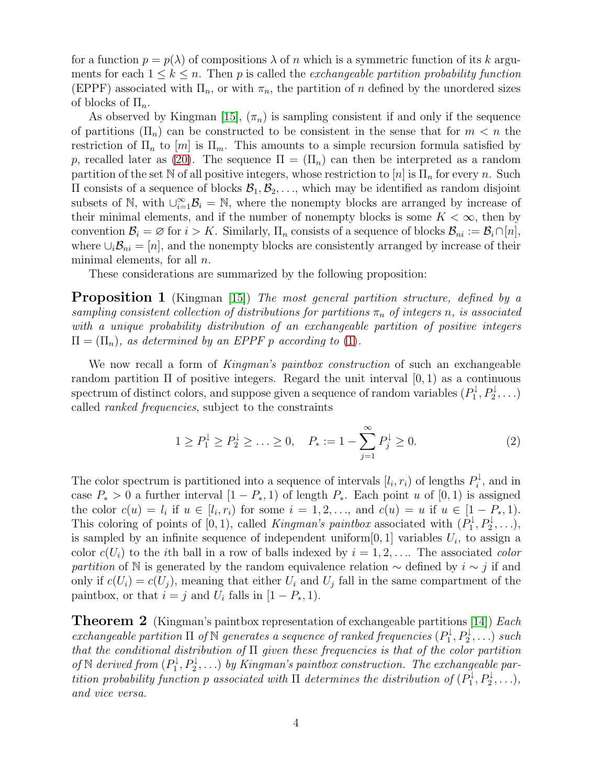for a function  $p = p(\lambda)$  of compositions  $\lambda$  of n which is a symmetric function of its k arguments for each  $1 \leq k \leq n$ . Then p is called the *exchangeable partition probability function* (EPPF) associated with  $\Pi_n$ , or with  $\pi_n$ , the partition of n defined by the unordered sizes of blocks of  $\Pi_n$ .

As observed by Kingman [\[15\]](#page-27-8),  $(\pi_n)$  is sampling consistent if and only if the sequence of partitions  $(\Pi_n)$  can be constructed to be consistent in the sense that for  $m < n$  the restriction of  $\Pi_n$  to  $[m]$  is  $\Pi_m$ . This amounts to a simple recursion formula satisfied by p, recalled later as [\(20\)](#page-8-1). The sequence  $\Pi = (\Pi_n)$  can then be interpreted as a random partition of the set N of all positive integers, whose restriction to  $[n]$  is  $\Pi_n$  for every n. Such  $\Pi$  consists of a sequence of blocks  $\mathcal{B}_1, \mathcal{B}_2, \ldots$ , which may be identified as random disjoint subsets of N, with  $\bigcup_{i=1}^{\infty} \mathcal{B}_i = \mathbb{N}$ , where the nonempty blocks are arranged by increase of their minimal elements, and if the number of nonempty blocks is some  $K < \infty$ , then by convention  $\mathcal{B}_i = \emptyset$  for  $i > K$ . Similarly,  $\Pi_n$  consists of a sequence of blocks  $\mathcal{B}_{ni} := \mathcal{B}_i \cap [n],$ where  $\cup_i \mathcal{B}_{ni} = [n]$ , and the nonempty blocks are consistently arranged by increase of their minimal elements, for all  $n$ .

These considerations are summarized by the following proposition:

Proposition 1 (Kingman [\[15\]](#page-27-8)) *The most general partition structure, defined by a sampling consistent collection of distributions for partitions*  $\pi_n$  *of integers n, is associated with a unique probability distribution of an exchangeable partition of positive integers*  $\Pi = (\Pi_n)$ , as determined by an EPPF p according to [\(1\)](#page-2-0).

We now recall a form of *Kingman's paintbox construction* of such an exchangeable random partition  $\Pi$  of positive integers. Regard the unit interval  $[0, 1)$  as a continuous spectrum of distinct colors, and suppose given a sequence of random variables  $(P_1^{\downarrow})$  $P_1^{\downarrow}, P_2^{\downarrow}, \ldots$ called *ranked frequencies*, subject to the constraints

<span id="page-3-0"></span>
$$
1 \ge P_1^{\downarrow} \ge P_2^{\downarrow} \ge \dots \ge 0, \quad P_* := 1 - \sum_{j=1}^{\infty} P_j^{\downarrow} \ge 0.
$$
 (2)

The color spectrum is partitioned into a sequence of intervals  $[l_i, r_i)$  of lengths  $P_i^{\downarrow}$  $\mathbf{a}_i^{\mu}$ , and in case  $P_* > 0$  a further interval  $[1 - P_*, 1)$  of length  $P_*$ . Each point u of  $[0, 1)$  is assigned the color  $c(u) = l_i$  if  $u \in [l_i, r_i)$  for some  $i = 1, 2, \ldots$ , and  $c(u) = u$  if  $u \in [1 - P_*, 1)$ . This coloring of points of [0, 1), called *Kingman's paintbox* associated with  $(P_1^{\downarrow})$  $P_1^{\downarrow}, P_2^{\downarrow}, \ldots$ ), is sampled by an infinite sequence of independent uniform  $[0, 1]$  variables  $U_i$ , to assign a color  $c(U_i)$  to the *i*th ball in a row of balls indexed by  $i = 1, 2, \ldots$  The associated *color partition* of N is generated by the random equivalence relation  $\sim$  defined by  $i \sim j$  if and only if  $c(U_i) = c(U_j)$ , meaning that either  $U_i$  and  $U_j$  fall in the same compartment of the paintbox, or that  $i = j$  and  $U_i$  falls in  $[1 - P_*, 1)$ .

<span id="page-3-1"></span>Theorem 2 (Kingman's paintbox representation of exchangeable partitions [\[14\]](#page-27-0)) *Each exchangeable partition*  $\Pi$  *of*  $\mathbb N$  *generates a sequence of ranked frequencies*  $(P_1^{\downarrow})$  $P_1^{\downarrow}, P_2^{\downarrow}, \ldots$ ) such *that the conditional distribution of* Π *given these frequencies is that of the color partition of* N *derived from*  $(P_1^{\downarrow})$  $\mathcal{P}_1^\downarrow, \mathcal{P}_2^\downarrow, \ldots)$  *by Kingman's paintbox construction. The exchangeable partition probability function* p *associated with*  $\Pi$  *determines the distribution of*  $(P_1^{\downarrow})$  $P_1^{\downarrow}, P_2^{\downarrow}, \ldots$ ), *and vice versa.*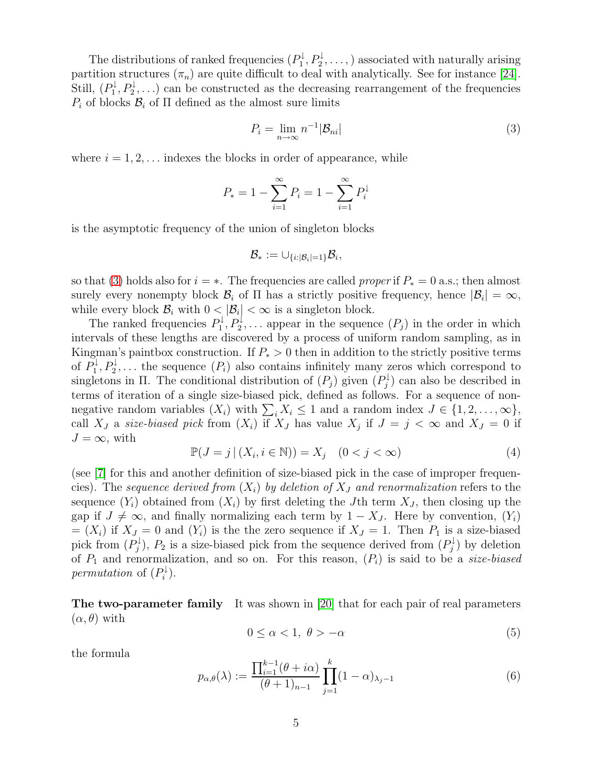The distributions of ranked frequencies  $(P_1^{\downarrow})$  $P_1^{\downarrow}, P_2^{\downarrow}, \ldots,$ ) associated with naturally arising partition structures  $(\pi_n)$  are quite difficult to deal with analytically. See for instance [\[24\]](#page-27-9). Still,  $(P_1^{\downarrow})$  $\mathbb{P}_1^{\downarrow}, P_2^{\downarrow}, \ldots$  can be constructed as the decreasing rearrangement of the frequencies  $P_i$  of blocks  $\mathcal{B}_i$  of  $\Pi$  defined as the almost sure limits

<span id="page-4-0"></span>
$$
P_i = \lim_{n \to \infty} n^{-1} |\mathcal{B}_{ni}| \tag{3}
$$

where  $i = 1, 2, \ldots$  indexes the blocks in order of appearance, while

$$
P_* = 1 - \sum_{i=1}^{\infty} P_i = 1 - \sum_{i=1}^{\infty} P_i^{\downarrow}
$$

is the asymptotic frequency of the union of singleton blocks

$$
\mathcal{B}_* := \cup_{\{i:|\mathcal{B}_i| = 1\}} \mathcal{B}_i,
$$

so that [\(3\)](#page-4-0) holds also for  $i = *$ . The frequencies are called *proper* if  $P_* = 0$  a.s.; then almost surely every nonempty block  $\mathcal{B}_i$  of  $\Pi$  has a strictly positive frequency, hence  $|\mathcal{B}_i| = \infty$ , while every block  $\mathcal{B}_i$  with  $0 < |\mathcal{B}_i| < \infty$  is a singleton block.

The ranked frequencies  $P_1^{\downarrow}$  $P_1^{\downarrow}, P_2^{\downarrow}, \ldots$  appear in the sequence  $(P_j)$  in the order in which intervals of these lengths are discovered by a process of uniform random sampling, as in Kingman's paintbox construction. If  $P_* > 0$  then in addition to the strictly positive terms of  $P_1^{\downarrow}$  $P_1^{\downarrow}, P_2^{\downarrow}, \ldots$  the sequence  $(P_i)$  also contains infinitely many zeros which correspond to singletons in  $\Pi$ . The conditional distribution of  $(P_j)$  given  $(P_i)$  $j_j^{\mathcal{U}}$  can also be described in terms of iteration of a single size-biased pick, defined as follows. For a sequence of nonnegative random variables  $(X_i)$  with  $\sum_i X_i \leq 1$  and a random index  $J \in \{1, 2, ..., \infty\},$ call  $X_J$  a *size-biased pick* from  $(X_i)$  if  $X_J$  has value  $X_j$  if  $J = j < \infty$  and  $X_J = 0$  if  $J = \infty$ , with

<span id="page-4-3"></span>
$$
\mathbb{P}(J = j | (X_i, i \in \mathbb{N})) = X_j \quad (0 < j < \infty) \tag{4}
$$

(see [\[7\]](#page-26-5) for this and another definition of size-biased pick in the case of improper frequencies). The *sequence derived from*  $(X_i)$  by deletion of  $X_j$  and renormalization refers to the sequence  $(Y_i)$  obtained from  $(X_i)$  by first deleting the Jth term  $X_j$ , then closing up the gap if  $J \neq \infty$ , and finally normalizing each term by  $1 - X_J$ . Here by convention,  $(Y_i)$  $=(X_i)$  if  $X_J = 0$  and  $(Y_i)$  is the the zero sequence if  $X_J = 1$ . Then  $P_1$  is a size-biased pick from  $(P_i^{\downarrow})$  $(p_j^{\downarrow})$ ,  $P_2$  is a size-biased pick from the sequence derived from  $(P_j^{\downarrow})$  $\mathcal{O}_j^{\downarrow}$ ) by deletion of  $P_1$  and renormalization, and so on. For this reason,  $(P_i)$  is said to be a *size-biased permutation* of  $(P_i^{\downarrow})$  $i^{\downarrow}$ ).

The two-parameter family It was shown in [\[20\]](#page-27-6) that for each pair of real parameters  $(\alpha, \theta)$  with

<span id="page-4-2"></span>
$$
0 \le \alpha < 1, \ \theta > -\alpha \tag{5}
$$

the formula

<span id="page-4-1"></span>
$$
p_{\alpha,\theta}(\lambda) := \frac{\prod_{i=1}^{k-1} (\theta + i\alpha)}{(\theta + 1)_{n-1}} \prod_{j=1}^{k} (1 - \alpha)_{\lambda_j - 1}
$$
(6)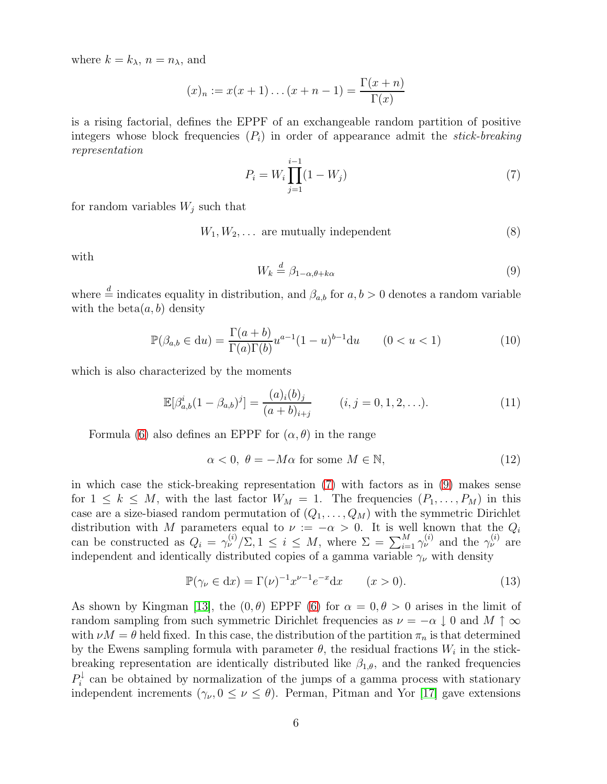where  $k = k_{\lambda}, n = n_{\lambda}$ , and

$$
(x)_n := x(x+1)...(x+n-1) = \frac{\Gamma(x+n)}{\Gamma(x)}
$$

is a rising factorial, defines the EPPF of an exchangeable random partition of positive integers whose block frequencies  $(P_i)$  in order of appearance admit the *stick-breaking representation*

<span id="page-5-0"></span>
$$
P_i = W_i \prod_{j=1}^{i-1} (1 - W_j)
$$
\n(7)

for random variables  $W_i$  such that

$$
W_1, W_2, \ldots \text{ are mutually independent} \tag{8}
$$

with

<span id="page-5-1"></span>
$$
W_k \stackrel{d}{=} \beta_{1-\alpha,\theta+k\alpha} \tag{9}
$$

where  $\stackrel{d}{=}$  indicates equality in distribution, and  $\beta_{a,b}$  for  $a, b > 0$  denotes a random variable with the beta $(a, b)$  density

$$
\mathbb{P}(\beta_{a,b} \in du) = \frac{\Gamma(a+b)}{\Gamma(a)\Gamma(b)} u^{a-1} (1-u)^{b-1} du \qquad (0 < u < 1)
$$
 (10)

which is also characterized by the moments

<span id="page-5-3"></span>
$$
\mathbb{E}[\beta_{a,b}^i(1-\beta_{a,b})^j] = \frac{(a)_i(b)_j}{(a+b)_{i+j}} \qquad (i,j=0,1,2,\ldots). \tag{11}
$$

Formula [\(6\)](#page-4-1) also defines an EPPF for  $(\alpha, \theta)$  in the range

<span id="page-5-2"></span>
$$
\alpha < 0, \ \theta = -M\alpha \text{ for some } M \in \mathbb{N},\tag{12}
$$

in which case the stick-breaking representation [\(7\)](#page-5-0) with factors as in [\(9\)](#page-5-1) makes sense for  $1 \leq k \leq M$ , with the last factor  $W_M = 1$ . The frequencies  $(P_1, \ldots, P_M)$  in this case are a size-biased random permutation of  $(Q_1, \ldots, Q_M)$  with the symmetric Dirichlet distribution with M parameters equal to  $\nu := -\alpha > 0$ . It is well known that the  $Q_i$ can be constructed as  $Q_i = \gamma_\nu^{(i)}/\Sigma$ ,  $1 \le i \le M$ , where  $\Sigma = \sum_{i=1}^M \gamma_\nu^{(i)}$  and the  $\gamma_\nu^{(i)}$  are independent and identically distributed copies of a gamma variable  $\gamma_{\nu}$  with density

$$
\mathbb{P}(\gamma_{\nu} \in dx) = \Gamma(\nu)^{-1} x^{\nu - 1} e^{-x} dx \qquad (x > 0).
$$
 (13)

As shown by Kingman [\[13\]](#page-27-5), the  $(0, \theta)$  EPPF  $(6)$  for  $\alpha = 0, \theta > 0$  arises in the limit of random sampling from such symmetric Dirichlet frequencies as  $\nu = -\alpha \downarrow 0$  and  $M \uparrow \infty$ with  $\nu M = \theta$  held fixed. In this case, the distribution of the partition  $\pi_n$  is that determined by the Ewens sampling formula with parameter  $\theta$ , the residual fractions  $W_i$  in the stickbreaking representation are identically distributed like  $\beta_{1,\theta}$ , and the ranked frequencies  $P_i^\downarrow$  $\hat{a}_i^{\mu}$  can be obtained by normalization of the jumps of a gamma process with stationary independent increments  $(\gamma_{\nu}, 0 \leq \nu \leq \theta)$ . Perman, Pitman and Yor [\[17\]](#page-27-10) gave extensions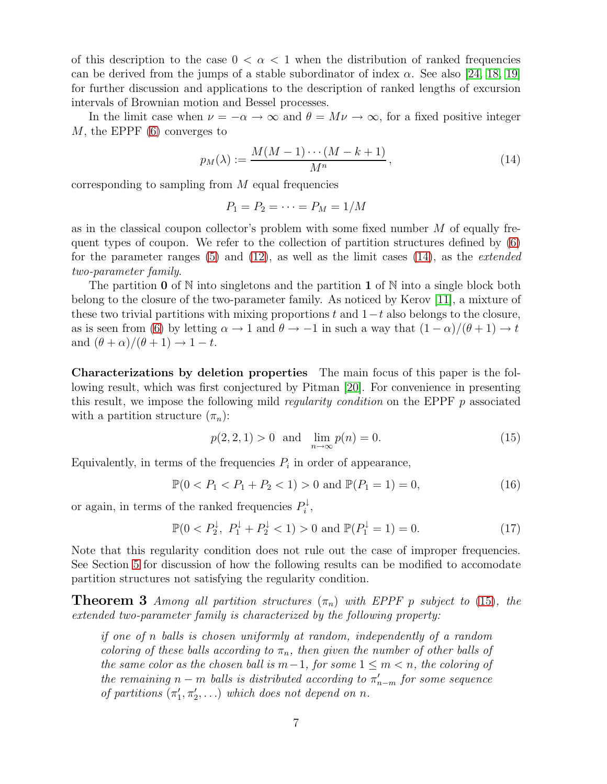of this description to the case  $0 < \alpha < 1$  when the distribution of ranked frequencies can be derived from the jumps of a stable subordinator of index  $\alpha$ . See also [\[24,](#page-27-9) [18,](#page-27-11) [19\]](#page-27-12) for further discussion and applications to the description of ranked lengths of excursion intervals of Brownian motion and Bessel processes.

In the limit case when  $\nu = -\alpha \rightarrow \infty$  and  $\theta = M\nu \rightarrow \infty$ , for a fixed positive integer M, the EPPF [\(6\)](#page-4-1) converges to

<span id="page-6-1"></span>
$$
p_M(\lambda) := \frac{M(M-1)\cdots(M-k+1)}{M^n},\tag{14}
$$

corresponding to sampling from M equal frequencies

$$
P_1 = P_2 = \cdots = P_M = 1/M
$$

as in the classical coupon collector's problem with some fixed number M of equally frequent types of coupon. We refer to the collection of partition structures defined by [\(6\)](#page-4-1) for the parameter ranges [\(5\)](#page-4-2) and [\(12\)](#page-5-2), as well as the limit cases [\(14\)](#page-6-1), as the *extended two-parameter family*.

The partition 0 of N into singletons and the partition 1 of N into a single block both belong to the closure of the two-parameter family. As noticed by Kerov [\[11\]](#page-26-6), a mixture of these two trivial partitions with mixing proportions t and  $1-t$  also belongs to the closure, as is seen from [\(6\)](#page-4-1) by letting  $\alpha \to 1$  and  $\theta \to -1$  in such a way that  $(1 - \alpha)/(\theta + 1) \to t$ and  $(\theta + \alpha)/(\theta + 1) \rightarrow 1 - t$ .

Characterizations by deletion properties The main focus of this paper is the following result, which was first conjectured by Pitman [\[20\]](#page-27-6). For convenience in presenting this result, we impose the following mild *regularity condition* on the EPPF p associated with a partition structure  $(\pi_n)$ :

<span id="page-6-2"></span>
$$
p(2, 2, 1) > 0
$$
 and  $\lim_{n \to \infty} p(n) = 0.$  (15)

Equivalently, in terms of the frequencies  $P_i$  in order of appearance,

$$
\mathbb{P}(0 < P_1 < P_1 + P_2 < 1) > 0 \text{ and } \mathbb{P}(P_1 = 1) = 0,\tag{16}
$$

or again, in terms of the ranked frequencies  $P_i^{\downarrow}$  $\frac{1}{i}$ ,

<span id="page-6-3"></span>
$$
\mathbb{P}(0 < P_2^\downarrow, \ P_1^\downarrow + P_2^\downarrow < 1) > 0 \text{ and } \mathbb{P}(P_1^\downarrow = 1) = 0. \tag{17}
$$

Note that this regularity condition does not rule out the case of improper frequencies. See Section [5](#page-17-0) for discussion of how the following results can be modified to accomodate partition structures not satisfying the regularity condition.

<span id="page-6-0"></span>**Theorem 3** *Among all partition structures*  $(\pi_n)$  *with EPPF p subject to* [\(15\)](#page-6-2)*, the extended two-parameter family is characterized by the following property:*

*if one of* n *balls is chosen uniformly at random, independently of a random coloring of these balls according to*  $\pi_n$ *, then given the number of other balls of the same color as the chosen ball is*  $m-1$ *, for some*  $1 ≤ m < n$ *, the coloring of the remaining*  $n - m$  *balls is distributed according to*  $\pi'_{n-m}$  *for some sequence of partitions*  $(\pi'_1, \pi'_2, \ldots)$  *which does not depend on n.*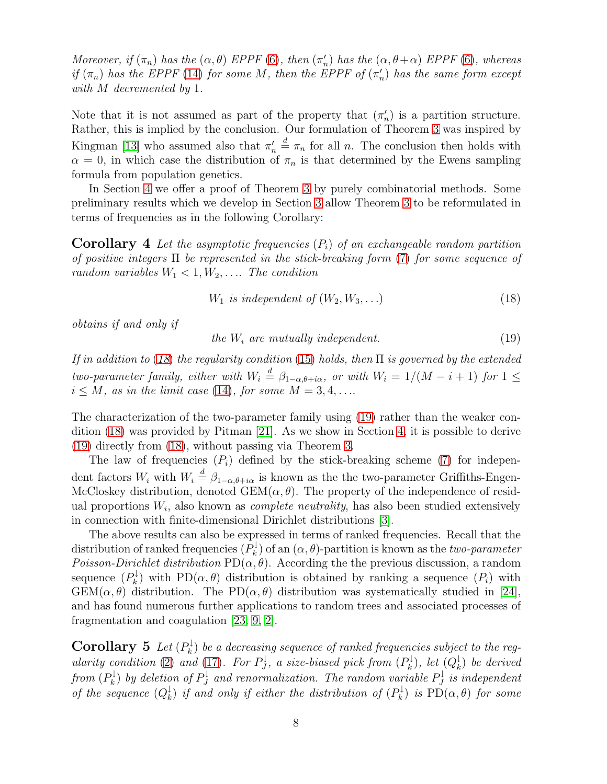*Moreover, if*  $(\pi_n)$  *has the*  $(\alpha, \theta)$  *EPPF* [\(6\)](#page-4-1)*, then*  $(\pi'_n)$  *has the*  $(\alpha, \theta + \alpha)$  *EPPF* (6)*, whereas if*  $(\pi_n)$  *has the EPPF* [\(14\)](#page-6-1) *for some M*, *then the EPPF of*  $(\pi'_n)$  *has the same form except with* M *decremented by* 1*.*

Note that it is not assumed as part of the property that  $(\pi_n)$  is a partition structure. Rather, this is implied by the conclusion. Our formulation of Theorem [3](#page-6-0) was inspired by Kingman [\[13\]](#page-27-5) who assumed also that  $\pi'_n \stackrel{d}{=} \pi_n$  for all n. The conclusion then holds with  $\alpha = 0$ , in which case the distribution of  $\pi_n$  is that determined by the Ewens sampling formula from population genetics.

<span id="page-7-2"></span>In Section [4](#page-11-0) we offer a proof of Theorem [3](#page-6-0) by purely combinatorial methods. Some preliminary results which we develop in Section [3](#page-8-0) allow Theorem [3](#page-6-0) to be reformulated in terms of frequencies as in the following Corollary:

Corollary 4 *Let the asymptotic frequencies* (Pi) *of an exchangeable random partition of positive integers* Π *be represented in the stick-breaking form* [\(7\)](#page-5-0) *for some sequence of random variables*  $W_1 < 1, W_2, \ldots$  *The condition* 

<span id="page-7-0"></span>
$$
W_1 \t{is independent of } (W_2, W_3, \ldots) \t(18)
$$

*obtains if and only if*

<span id="page-7-1"></span>
$$
the W_i are mutually independent. \tag{19}
$$

*If in addition to* (*[18](#page-7-0)*) *the regularity condition* [\(15\)](#page-6-2) *holds, then* Π *is governed by the extended two-parameter family, either with*  $W_i \stackrel{d}{=} \beta_{1-\alpha,\theta+i\alpha}$ *, or with*  $W_i = 1/(M - i + 1)$  *for*  $1 \leq$  $i \leq M$ *, as in the limit case* [\(14\)](#page-6-1)*, for some*  $M = 3, 4, \ldots$ 

The characterization of the two-parameter family using [\(19\)](#page-7-1) rather than the weaker condition [\(18\)](#page-7-0) was provided by Pitman [\[21\]](#page-27-1). As we show in Section [4,](#page-11-0) it is possible to derive [\(19\)](#page-7-1) directly from [\(18\)](#page-7-0), without passing via Theorem [3.](#page-6-0)

The law of frequencies  $(P_i)$  defined by the stick-breaking scheme [\(7\)](#page-5-0) for independent factors  $W_i$  with  $W_i \stackrel{d}{=} \beta_{1-\alpha,\theta+i\alpha}$  is known as the the two-parameter Griffiths-Engen-McCloskey distribution, denoted  $GEM(\alpha, \theta)$ . The property of the independence of residual proportions W<sup>i</sup> , also known as *complete neutrality*, has also been studied extensively in connection with finite-dimensional Dirichlet distributions [\[3\]](#page-26-7).

The above results can also be expressed in terms of ranked frequencies. Recall that the distribution of ranked frequencies  $(P_k^{\downarrow})$  $\mathcal{R}_k^{\downarrow}$  of an  $(\alpha, \theta)$ -partition is known as the *two-parameter Poisson-Dirichlet distribution*  $PD(\alpha, \theta)$ . According the the previous discussion, a random sequence  $(P_k^{\downarrow}$  $(k)$  with PD $(\alpha, \theta)$  distribution is obtained by ranking a sequence  $(P_i)$  with  $GEM(\alpha, \theta)$  distribution. The PD $(\alpha, \theta)$  distribution was systematically studied in [\[24\]](#page-27-9), and has found numerous further applications to random trees and associated processes of fragmentation and coagulation [\[23,](#page-27-3) [9,](#page-26-0) [2\]](#page-26-2).

**Corollary 5** Let  $(P_k^{\downarrow})$  $\mathcal{C}_k^{\downarrow}$ ) be a decreasing sequence of ranked frequencies subject to the reg*ularity condition* [\(2\)](#page-3-0) *and* [\(17\)](#page-6-3)*. For*  $P_J^{\downarrow}$  $\mathcal{Q}_J^\downarrow$ , a size-biased pick from  $(P_k^\downarrow)$  $\mathcal{C}^\downarrow_k$ ), let  $(Q^\downarrow_k)$ k ) *be derived* from  $(P_k^\downarrow)$  $\mathcal{P}_k^{\downarrow}$  by deletion of  $P_J^{\downarrow}$  $J_J^\downarrow$  and renormalization. The random variable  $P_J^\downarrow$  $\mathcal{G}_J^{\downarrow}$  *is independent of the sequence*  $(Q_k^{\downarrow})$  $\frac{1}{k}$ ) *if and only if either the distribution of*  $(P^{\downarrow}_{k})$  $\mathcal{P}_k^{\downarrow}$ ) *is*  $PD(\alpha, \theta)$  *for some*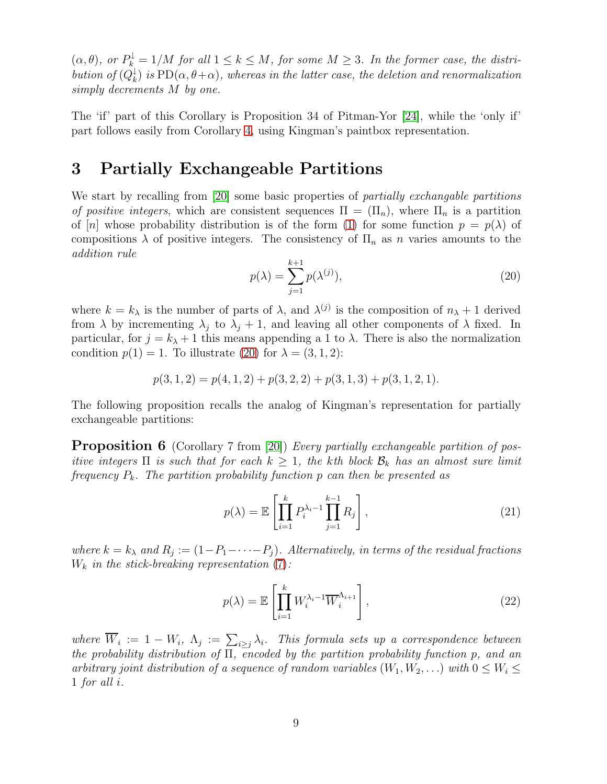$(\alpha, \theta)$ , or  $P_k^{\downarrow} = 1/M$  for all  $1 \leq k \leq M$ , for some  $M \geq 3$ . In the former case, the distri*bution of*  $(Q_k^{\downarrow})$  $\mathcal{H}_k^{\downarrow}$ ) *is*  $\mathrm{PD}(\alpha,\theta+\alpha)$ , whereas in the latter case, the deletion and renormalization *simply decrements* M *by one.*

The 'if' part of this Corollary is Proposition 34 of Pitman-Yor [\[24\]](#page-27-9), while the 'only if' part follows easily from Corollary [4,](#page-7-2) using Kingman's paintbox representation.

#### <span id="page-8-0"></span>3 Partially Exchangeable Partitions

We start by recalling from [\[20\]](#page-27-6) some basic properties of *partially exchangable partitions of positive integers*, which are consistent sequences  $\Pi = (\Pi_n)$ , where  $\Pi_n$  is a partition of [n] whose probability distribution is of the form [\(1\)](#page-2-0) for some function  $p = p(\lambda)$  of compositions  $\lambda$  of positive integers. The consistency of  $\Pi_n$  as n varies amounts to the *addition rule*

<span id="page-8-1"></span>
$$
p(\lambda) = \sum_{j=1}^{k+1} p(\lambda^{(j)}),
$$
\n(20)

where  $k = k_{\lambda}$  is the number of parts of  $\lambda$ , and  $\lambda^{(j)}$  is the composition of  $n_{\lambda} + 1$  derived from  $\lambda$  by incrementing  $\lambda_j$  to  $\lambda_j + 1$ , and leaving all other components of  $\lambda$  fixed. In particular, for  $j = k_{\lambda} + 1$  this means appending a 1 to  $\lambda$ . There is also the normalization condition  $p(1) = 1$ . To illustrate [\(20\)](#page-8-1) for  $\lambda = (3, 1, 2)$ :

$$
p(3,1,2) = p(4,1,2) + p(3,2,2) + p(3,1,3) + p(3,1,2,1).
$$

The following proposition recalls the analog of Kingman's representation for partially exchangeable partitions:

**Proposition 6** (Corollary 7 from [\[20\]](#page-27-6)) *Every partially exchangeable partition of positive integers*  $\Pi$  *is such that for each*  $k \geq 1$ *, the kth block*  $\mathcal{B}_k$  *has an almost sure limit frequency* Pk*. The partition probability function* p *can then be presented as*

$$
p(\lambda) = \mathbb{E}\left[\prod_{i=1}^{k} P_i^{\lambda_i - 1} \prod_{j=1}^{k-1} R_j\right],
$$
\n(21)

where  $k = k_{\lambda}$  and  $R_j := (1 - P_1 - \cdots - P_j)$ . Alternatively, in terms of the residual fractions W<sup>k</sup> *in the stick-breaking representation* [\(7\)](#page-5-0)*:*

<span id="page-8-2"></span>
$$
p(\lambda) = \mathbb{E}\left[\prod_{i=1}^{k} W_i^{\lambda_i - 1} \overline{W}_i^{\Lambda_{i+1}}\right],
$$
\n(22)

where  $W_i := 1 - W_i$ ,  $\Lambda_j := \sum_{i \geq j} \lambda_i$ . This formula sets up a correspondence between *the probability distribution of* Π*, encoded by the partition probability function* p*, and an arbitrary joint distribution of a sequence of random variables*  $(W_1, W_2, ...)$  *with*  $0 \leq W_i \leq$ 1 *for all* i*.*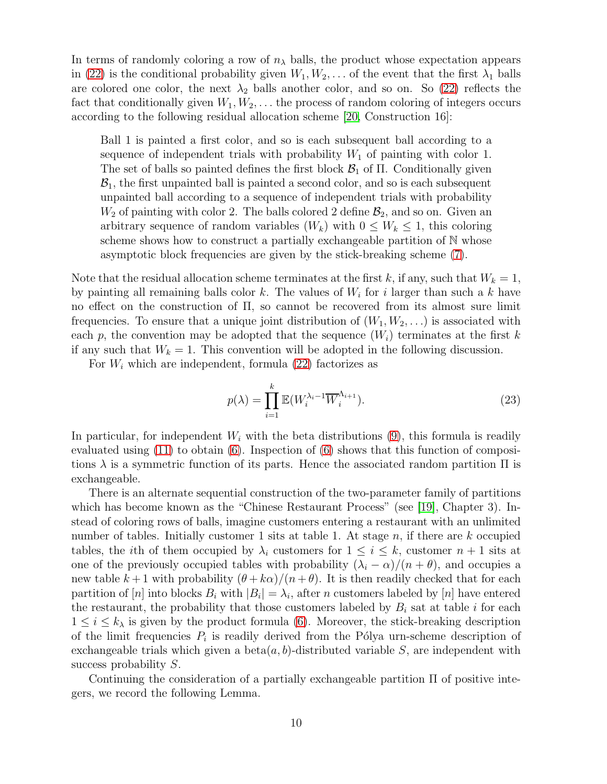In terms of randomly coloring a row of  $n<sub>\lambda</sub>$  balls, the product whose expectation appears in [\(22\)](#page-8-2) is the conditional probability given  $W_1, W_2, \ldots$  of the event that the first  $\lambda_1$  balls are colored one color, the next  $\lambda_2$  balls another color, and so on. So [\(22\)](#page-8-2) reflects the fact that conditionally given  $W_1, W_2, \ldots$  the process of random coloring of integers occurs according to the following residual allocation scheme [\[20,](#page-27-6) Construction 16]:

Ball 1 is painted a first color, and so is each subsequent ball according to a sequence of independent trials with probability  $W_1$  of painting with color 1. The set of balls so painted defines the first block  $\mathcal{B}_1$  of  $\Pi$ . Conditionally given  $\mathcal{B}_1$ , the first unpainted ball is painted a second color, and so is each subsequent unpainted ball according to a sequence of independent trials with probability  $W_2$  of painting with color 2. The balls colored 2 define  $\mathcal{B}_2$ , and so on. Given an arbitrary sequence of random variables  $(W_k)$  with  $0 \leq W_k \leq 1$ , this coloring scheme shows how to construct a partially exchangeable partition of  $N$  whose asymptotic block frequencies are given by the stick-breaking scheme [\(7\)](#page-5-0).

Note that the residual allocation scheme terminates at the first k, if any, such that  $W_k = 1$ , by painting all remaining balls color  $k$ . The values of  $W_i$  for i larger than such a k have no effect on the construction of Π, so cannot be recovered from its almost sure limit frequencies. To ensure that a unique joint distribution of  $(W_1, W_2, \ldots)$  is associated with each p, the convention may be adopted that the sequence  $(W_i)$  terminates at the first k if any such that  $W_k = 1$ . This convention will be adopted in the following discussion.

For  $W_i$  which are independent, formula [\(22\)](#page-8-2) factorizes as

$$
p(\lambda) = \prod_{i=1}^{k} \mathbb{E}(W_i^{\lambda_i - 1} \overline{W}_i^{\Lambda_{i+1}}).
$$
\n(23)

In particular, for independent  $W_i$  with the beta distributions  $(9)$ , this formula is readily evaluated using [\(11\)](#page-5-3) to obtain [\(6\)](#page-4-1). Inspection of [\(6\)](#page-4-1) shows that this function of compositions  $\lambda$  is a symmetric function of its parts. Hence the associated random partition  $\Pi$  is exchangeable.

There is an alternate sequential construction of the two-parameter family of partitions which has become known as the "Chinese Restaurant Process" (see [\[19\]](#page-27-12), Chapter 3). Instead of coloring rows of balls, imagine customers entering a restaurant with an unlimited number of tables. Initially customer 1 sits at table 1. At stage  $n$ , if there are  $k$  occupied tables, the *i*th of them occupied by  $\lambda_i$  customers for  $1 \leq i \leq k$ , customer  $n+1$  sits at one of the previously occupied tables with probability  $(\lambda_i - \alpha)/(n + \theta)$ , and occupies a new table  $k+1$  with probability  $(\theta + k\alpha)/(n + \theta)$ . It is then readily checked that for each partition of  $[n]$  into blocks  $B_i$  with  $|B_i| = \lambda_i$ , after n customers labeled by  $[n]$  have entered the restaurant, the probability that those customers labeled by  $B_i$  sat at table i for each  $1 \leq i \leq k_{\lambda}$  is given by the product formula [\(6\)](#page-4-1). Moreover, the stick-breaking description of the limit frequencies  $P_i$  is readily derived from the Pólya urn-scheme description of exchangeable trials which given a beta $(a, b)$ -distributed variable S, are independent with success probability S.

<span id="page-9-0"></span>Continuing the consideration of a partially exchangeable partition Π of positive integers, we record the following Lemma.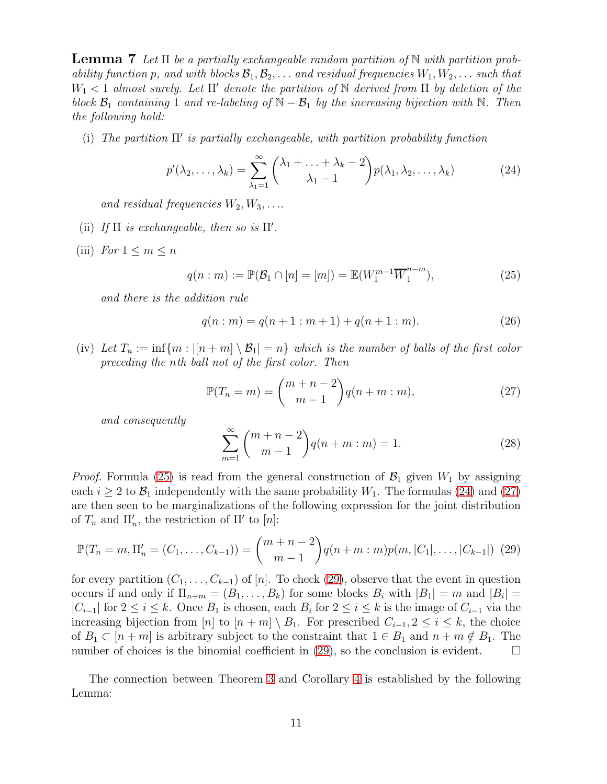Lemma 7 *Let* Π *be a partially exchangeable random partition of* N *with partition probability function* p, and with blocks  $\mathcal{B}_1, \mathcal{B}_2, \ldots$  and residual frequencies  $W_1, W_2, \ldots$  such that W<sup>1</sup> < 1 *almost surely. Let* Π′ *denote the partition of* N *derived from* Π *by deletion of the block*  $\mathcal{B}_1$  *containing* 1 *and re-labeling of*  $\mathbb{N} - \mathcal{B}_1$  *by the increasing bijection with*  $\mathbb{N}$ *. Then the following hold:*

(i) *The partition* Π ′ *is partially exchangeable, with partition probability function*

<span id="page-10-1"></span>
$$
p'(\lambda_2, \ldots, \lambda_k) = \sum_{\lambda_1=1}^{\infty} {\lambda_1 + \ldots + \lambda_k - 2 \choose \lambda_1 - 1} p(\lambda_1, \lambda_2, \ldots, \lambda_k)
$$
 (24)

*and residual frequencies*  $W_2, W_3, \ldots$ 

- (ii) If  $\Pi$  *is exchangeable, then so is*  $\Pi'$ *.*
- (iii) *For*  $1 \leq m \leq n$

<span id="page-10-0"></span>
$$
q(n : m) := \mathbb{P}(\mathcal{B}_1 \cap [n] = [m]) = \mathbb{E}(W_1^{m-1} \overline{W}_1^{n-m}),
$$
\n(25)

*and there is the addition rule*

<span id="page-10-5"></span>
$$
q(n : m) = q(n + 1 : m + 1) + q(n + 1 : m).
$$
 (26)

(iv) Let  $T_n := \inf\{m : |[n+m] \setminus \mathcal{B}_1| = n\}$  which is the number of balls of the first color *preceding the* n*th ball not of the first color. Then*

<span id="page-10-2"></span>
$$
\mathbb{P}(T_n = m) = \binom{m+n-2}{m-1} q(n+m:m),\tag{27}
$$

*and consequently*

$$
\sum_{m=1}^{\infty} {m+n-2 \choose m-1} q(n+m:m) = 1.
$$
 (28)

*Proof.* Formula [\(25\)](#page-10-0) is read from the general construction of  $\mathcal{B}_1$  given  $W_1$  by assigning each  $i \geq 2$  to  $\mathcal{B}_1$  independently with the same probability  $W_1$ . The formulas [\(24\)](#page-10-1) and [\(27\)](#page-10-2) are then seen to be marginalizations of the following expression for the joint distribution of  $T_n$  and  $\Pi'_n$ , the restriction of  $\Pi'$  to  $[n]$ :

<span id="page-10-3"></span>
$$
\mathbb{P}(T_n = m, \Pi'_n = (C_1, \dots, C_{k-1})) = {m+n-2 \choose m-1} q(n+m:m) p(m, |C_1|, \dots, |C_{k-1}|)
$$
 (29)

for every partition  $(C_1, \ldots, C_{k-1})$  of [n]. To check [\(29\)](#page-10-3), observe that the event in question occurs if and only if  $\Pi_{n+m} = (B_1, \ldots, B_k)$  for some blocks  $B_i$  with  $|B_1| = m$  and  $|B_i| =$  $|C_{i-1}|$  for  $2 \le i \le k$ . Once  $B_1$  is chosen, each  $B_i$  for  $2 \le i \le k$  is the image of  $C_{i-1}$  via the increasing bijection from [n] to  $[n+m] \setminus B_1$ . For prescribed  $C_{i-1}, 2 \leq i \leq k$ , the choice of  $B_1 \subset [n+m]$  is arbitrary subject to the constraint that  $1 \in B_1$  and  $n+m \notin B_1$ . The number of choices is the binomial coefficient in [\(29\)](#page-10-3), so the conclusion is evident.  $\square$ 

<span id="page-10-4"></span>The connection between Theorem [3](#page-6-0) and Corollary [4](#page-7-2) is established by the following Lemma: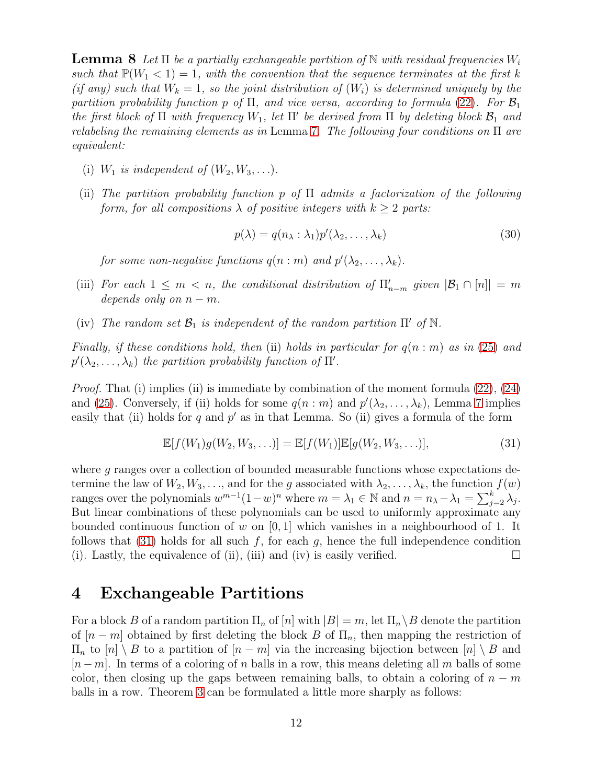Lemma 8 *Let* Π *be a partially exchangeable partition of* N *with residual frequencies* W<sup>i</sup> *such that*  $\mathbb{P}(W_1 < 1) = 1$ *, with the convention that the sequence terminates at the first* k *(if any)* such that  $W_k = 1$ , so the joint distribution of  $(W_i)$  is determined uniquely by the *partition probability function* p of  $\Pi$ , and vice versa, according to formula [\(22\)](#page-8-2). For  $\mathcal{B}_1$ *the first block of*  $\Pi$  *with frequency*  $W_1$ *, let*  $\Pi'$  *be derived from*  $\Pi$  *by deleting block*  $\mathcal{B}_1$  *and relabeling the remaining elements as in* Lemma [7](#page-9-0)*. The following four conditions on* Π *are equivalent:*

- (i)  $W_1$  *is independent of*  $(W_2, W_3, \ldots)$ *.*
- (ii) *The partition probability function* p *of* Π *admits a factorization of the following form, for all compositions*  $\lambda$  *of positive integers with*  $k > 2$  *parts:*

<span id="page-11-3"></span>
$$
p(\lambda) = q(n_{\lambda} : \lambda_1) p'(\lambda_2, \dots, \lambda_k)
$$
\n(30)

for some non-negative functions  $q(n : m)$  and  $p'(\lambda_2, \ldots, \lambda_k)$ .

- (iii) *For each*  $1 \leq m < n$ , the conditional distribution of  $\prod_{n=m}^{\prime}$  given  $|\mathcal{B}_1 \cap [n]| = m$ *depends only on*  $n - m$ .
- (iv) The random set  $\mathcal{B}_1$  *is independent of the random partition*  $\Pi'$  *of*  $\mathbb{N}$ *.*

*Finally, if these conditions hold, then* (ii) *holds in particular for* q(n : m) *as in* [\(25\)](#page-10-0) *and*  $p'(\lambda_2, \ldots, \lambda_k)$  the partition probability function of  $\Pi'$ .

*Proof.* That (i) implies (ii) is immediate by combination of the moment formula [\(22\)](#page-8-2), [\(24\)](#page-10-1) and [\(25\)](#page-10-0). Conversely, if (ii) holds for some  $q(n : m)$  and  $p'(\lambda_2, \ldots, \lambda_k)$ , Lemma [7](#page-9-0) implies easily that (ii) holds for  $q$  and  $p'$  as in that Lemma. So (ii) gives a formula of the form

<span id="page-11-1"></span>
$$
\mathbb{E}[f(W_1)g(W_2, W_3, \ldots)] = \mathbb{E}[f(W_1)]\mathbb{E}[g(W_2, W_3, \ldots)],
$$
\n(31)

where g ranges over a collection of bounded measurable functions whose expectations determine the law of  $W_2, W_3, \ldots$ , and for the g associated with  $\lambda_2, \ldots, \lambda_k$ , the function  $f(w)$ ranges over the polynomials  $w^{m-1}(1-w)^n$  where  $m = \lambda_1 \in \mathbb{N}$  and  $n = n_{\lambda} - \lambda_1 = \sum_{j=2}^k \lambda_j$ . But linear combinations of these polynomials can be used to uniformly approximate any bounded continuous function of w on  $[0, 1]$  which vanishes in a neighbourhood of 1. It follows that [\(31\)](#page-11-1) holds for all such f, for each  $g$ , hence the full independence condition (i). Lastly, the equivalence of (ii), (iii) and (iv) is easily verified.  $\Box$ 

#### <span id="page-11-0"></span>4 Exchangeable Partitions

<span id="page-11-2"></span>For a block B of a random partition  $\Pi_n$  of  $[n]$  with  $|B| = m$ , let  $\Pi_n \setminus B$  denote the partition of  $[n-m]$  obtained by first deleting the block B of  $\Pi_n$ , then mapping the restriction of  $\Pi_n$  to  $[n] \setminus B$  to a partition of  $[n-m]$  via the increasing bijection between  $[n] \setminus B$  and  $[n-m]$ . In terms of a coloring of n balls in a row, this means deleting all m balls of some color, then closing up the gaps between remaining balls, to obtain a coloring of  $n - m$ balls in a row. Theorem [3](#page-6-0) can be formulated a little more sharply as follows: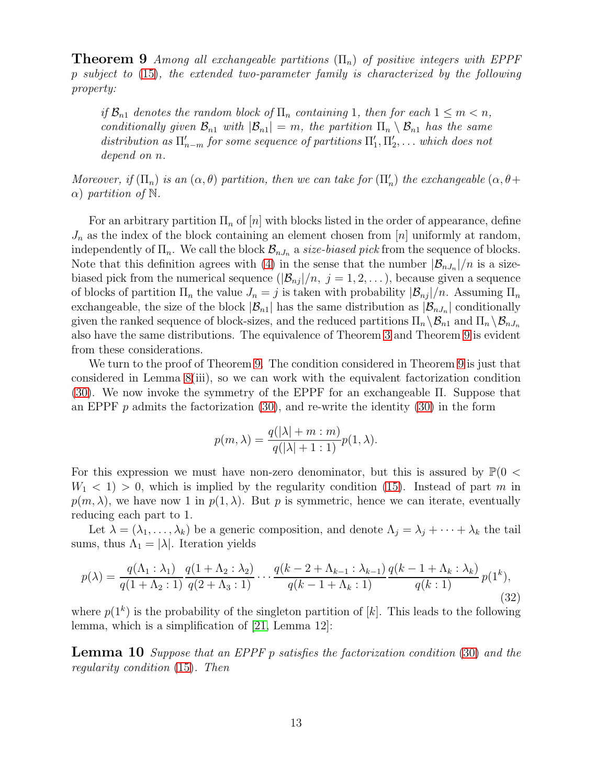**Theorem 9** *Among all exchangeable partitions*  $(\Pi_n)$  *of positive integers with EPPF* p *subject to* [\(15\)](#page-6-2)*, the extended two-parameter family is characterized by the following property:*

*if*  $\mathcal{B}_{n1}$  *denotes the random block of*  $\Pi_n$  *containing* 1*, then for each*  $1 \leq m < n$ *, conditionally given*  $\mathcal{B}_{n1}$  *with*  $|\mathcal{B}_{n1}| = m$ *, the partition*  $\Pi_n \setminus \mathcal{B}_{n1}$  *has the same* distribution as  $\Pi'_{n-m}$  for some sequence of partitions  $\Pi'_{1}, \Pi'_{2}, \ldots$  which does not *depend on* n*.*

*Moreover, if*  $(\Pi_n)$  *is an*  $(\alpha, \theta)$  *partition, then we can take for*  $(\Pi'_n)$  *the exchangeable*  $(\alpha, \theta + \theta)$  $\alpha$ ) *partition of* N.

For an arbitrary partition  $\Pi_n$  of  $[n]$  with blocks listed in the order of appearance, define  $J_n$  as the index of the block containing an element chosen from [n] uniformly at random, independently of  $\Pi_n$ . We call the block  $\mathcal{B}_{nJ_n}$  a *size-biased pick* from the sequence of blocks. Note that this definition agrees with [\(4\)](#page-4-3) in the sense that the number  $|\mathcal{B}_{nJ_n}|/n$  is a sizebiased pick from the numerical sequence  $(|\mathcal{B}_{nj}|/n, j = 1, 2, ...)$ , because given a sequence of blocks of partition  $\Pi_n$  the value  $J_n = j$  is taken with probability  $|\mathcal{B}_{nj}|/n$ . Assuming  $\Pi_n$ exchangeable, the size of the block  $|\mathcal{B}_{n1}|$  has the same distribution as  $|\mathcal{B}_{nJ_n}|$  conditionally given the ranked sequence of block-sizes, and the reduced partitions  $\Pi_n \backslash \mathcal{B}_{n1}$  and  $\Pi_n \backslash \mathcal{B}_{nJ_n}$ also have the same distributions. The equivalence of Theorem [3](#page-6-0) and Theorem [9](#page-11-2) is evident from these considerations.

We turn to the proof of Theorem [9.](#page-11-2) The condition considered in Theorem [9](#page-11-2) is just that considered in Lemma [8\(](#page-10-4)iii), so we can work with the equivalent factorization condition [\(30\)](#page-11-3). We now invoke the symmetry of the EPPF for an exchangeable Π. Suppose that an EPPF  $p$  admits the factorization [\(30\)](#page-11-3), and re-write the identity (30) in the form

$$
p(m, \lambda) = \frac{q(|\lambda| + m : m)}{q(|\lambda| + 1 : 1)} p(1, \lambda).
$$

For this expression we must have non-zero denominator, but this is assured by  $\mathbb{P}(0 <$  $W_1$  < 1) > 0, which is implied by the regularity condition [\(15\)](#page-6-2). Instead of part m in  $p(m, \lambda)$ , we have now 1 in  $p(1, \lambda)$ . But p is symmetric, hence we can iterate, eventually reducing each part to 1.

Let  $\lambda = (\lambda_1, \ldots, \lambda_k)$  be a generic composition, and denote  $\Lambda_j = \lambda_j + \cdots + \lambda_k$  the tail sums, thus  $\Lambda_1 = |\lambda|$ . Iteration yields

<span id="page-12-0"></span>
$$
p(\lambda) = \frac{q(\Lambda_1 : \lambda_1)}{q(1 + \Lambda_2 : 1)} \frac{q(1 + \Lambda_2 : \lambda_2)}{q(2 + \Lambda_3 : 1)} \cdots \frac{q(k - 2 + \Lambda_{k-1} : \lambda_{k-1})}{q(k - 1 + \Lambda_k : 1)} \frac{q(k - 1 + \Lambda_k : \lambda_k)}{q(k : 1)} p(1^k),
$$
\n(32)

<span id="page-12-1"></span>where  $p(1^k)$  is the probability of the singleton partition of [k]. This leads to the following lemma, which is a simplification of [\[21,](#page-27-1) Lemma 12]:

Lemma 10 *Suppose that an EPPF* p *satisfies the factorization condition* [\(30\)](#page-11-3) *and the regularity condition* [\(15\)](#page-6-2)*. Then*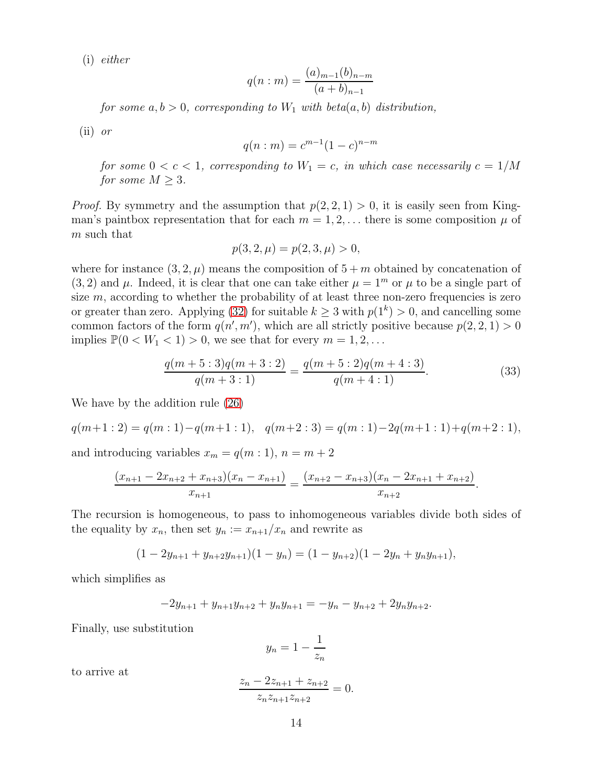(i) *either*

$$
q(n : m) = \frac{(a)_{m-1}(b)_{n-m}}{(a+b)_{n-1}}
$$

*for some*  $a, b > 0$ *, corresponding to*  $W_1$  *with beta* $(a, b)$  *distribution,* 

(ii) *or*

$$
q(n : m) = c^{m-1}(1 - c)^{n-m}
$$

*for some*  $0 < c < 1$ *, corresponding to*  $W_1 = c$ *, in which case necessarily*  $c = 1/M$ *for some*  $M \geq 3$ *.* 

*Proof.* By symmetry and the assumption that  $p(2, 2, 1) > 0$ , it is easily seen from Kingman's paintbox representation that for each  $m = 1, 2, \ldots$  there is some composition  $\mu$  of m such that

$$
p(3,2,\mu) = p(2,3,\mu) > 0,
$$

where for instance  $(3, 2, \mu)$  means the composition of  $5 + m$  obtained by concatenation of  $(3, 2)$  and  $\mu$ . Indeed, it is clear that one can take either  $\mu = 1^m$  or  $\mu$  to be a single part of size  $m$ , according to whether the probability of at least three non-zero frequencies is zero or greater than zero. Applying [\(32\)](#page-12-0) for suitable  $k \geq 3$  with  $p(1^k) > 0$ , and cancelling some common factors of the form  $q(n', m')$ , which are all strictly positive because  $p(2, 2, 1) > 0$ implies  $\mathbb{P}(0 < W_1 < 1) > 0$ , we see that for every  $m = 1, 2, \ldots$ 

<span id="page-13-0"></span>
$$
\frac{q(m+5:3)q(m+3:2)}{q(m+3:1)} = \frac{q(m+5:2)q(m+4:3)}{q(m+4:1)}.
$$
\n(33)

.

We have by the addition rule [\(26\)](#page-10-5)

$$
q(m+1:2) = q(m:1) - q(m+1:1), \quad q(m+2:3) = q(m:1) - 2q(m+1:1) + q(m+2:1),
$$

and introducing variables  $x_m = q(m:1), n = m + 2$ 

$$
\frac{(x_{n+1} - 2x_{n+2} + x_{n+3})(x_n - x_{n+1})}{x_{n+1}} = \frac{(x_{n+2} - x_{n+3})(x_n - 2x_{n+1} + x_{n+2})}{x_{n+2}}
$$

The recursion is homogeneous, to pass to inhomogeneous variables divide both sides of the equality by  $x_n$ , then set  $y_n := x_{n+1}/x_n$  and rewrite as

$$
(1 - 2y_{n+1} + y_{n+2}y_{n+1})(1 - y_n) = (1 - y_{n+2})(1 - 2y_n + y_ny_{n+1}),
$$

which simplifies as

$$
-2y_{n+1} + y_{n+1}y_{n+2} + y_ny_{n+1} = -y_n - y_{n+2} + 2y_ny_{n+2}.
$$

Finally, use substitution

$$
y_n = 1 - \frac{1}{z_n}
$$

to arrive at

$$
\frac{z_n - 2z_{n+1} + z_{n+2}}{z_n z_{n+1} z_{n+2}} = 0.
$$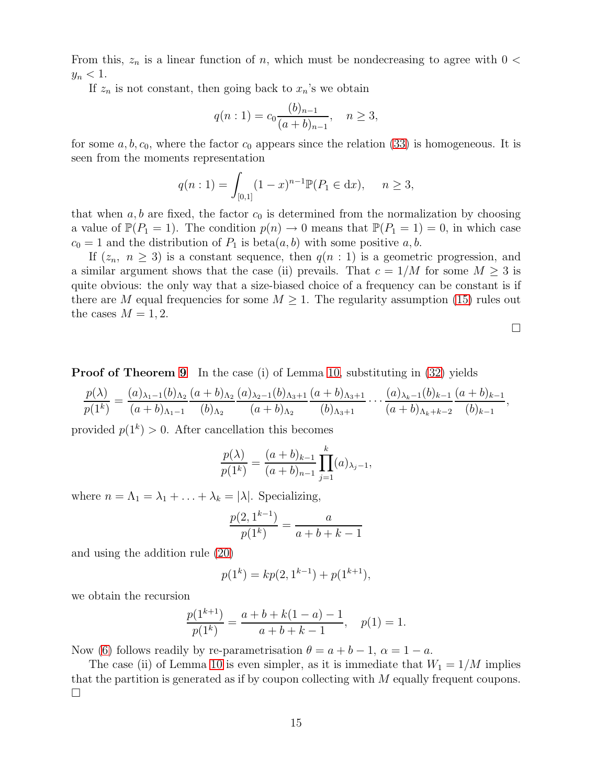From this,  $z_n$  is a linear function of n, which must be nondecreasing to agree with  $0 <$  $y_n < 1$ .

If  $z_n$  is not constant, then going back to  $x_n$ 's we obtain

$$
q(n:1) = c_0 \frac{(b)_{n-1}}{(a+b)_{n-1}}, \quad n \ge 3,
$$

for some  $a, b, c_0$ , where the factor  $c_0$  appears since the relation [\(33\)](#page-13-0) is homogeneous. It is seen from the moments representation

$$
q(n:1) = \int_{[0,1]} (1-x)^{n-1} \mathbb{P}(P_1 \in dx), \quad n \ge 3,
$$

that when  $a, b$  are fixed, the factor  $c_0$  is determined from the normalization by choosing a value of  $\mathbb{P}(P_1 = 1)$ . The condition  $p(n) \to 0$  means that  $\mathbb{P}(P_1 = 1) = 0$ , in which case  $c_0 = 1$  and the distribution of  $P_1$  is beta $(a, b)$  with some positive  $a, b$ .

If  $(z_n, n \geq 3)$  is a constant sequence, then  $q(n:1)$  is a geometric progression, and a similar argument shows that the case (ii) prevails. That  $c = 1/M$  for some  $M \geq 3$  is quite obvious: the only way that a size-biased choice of a frequency can be constant is if there are M equal frequencies for some  $M \geq 1$ . The regularity assumption [\(15\)](#page-6-2) rules out the cases  $M = 1, 2$ .

 $\Box$ 

**Proof of Theorem [9](#page-11-2)** In the case (i) of Lemma [10,](#page-12-1) substituting in [\(32\)](#page-12-0) yields

$$
\frac{p(\lambda)}{p(1^k)} = \frac{(a)_{\lambda_1-1}(b)_{\Lambda_2}}{(a+b)_{\Lambda_1-1}} \frac{(a+b)_{\Lambda_2}(a)_{\lambda_2-1}(b)_{\Lambda_3+1}}{(a+b)_{\Lambda_2}} \frac{(a+b)_{\Lambda_3+1}}{(b)_{\Lambda_3+1}} \cdots \frac{(a)_{\lambda_k-1}(b)_{k-1}}{(a+b)_{\Lambda_k+k-2}} \frac{(a+b)_{k-1}}{(b)_{k-1}},
$$

provided  $p(1^k) > 0$ . After cancellation this becomes

$$
\frac{p(\lambda)}{p(1^k)} = \frac{(a+b)_{k-1}}{(a+b)_{n-1}} \prod_{j=1}^k (a)_{\lambda_j - 1},
$$

where  $n = \Lambda_1 = \lambda_1 + \ldots + \lambda_k = |\lambda|$ . Specializing,

$$
\frac{p(2,1^{k-1})}{p(1^k)} = \frac{a}{a+b+k-1}
$$

and using the addition rule [\(20\)](#page-8-1)

$$
p(1^k) = kp(2, 1^{k-1}) + p(1^{k+1}),
$$

we obtain the recursion

$$
\frac{p(1^{k+1})}{p(1^k)} = \frac{a+b+k(1-a)-1}{a+b+k-1}, \quad p(1) = 1.
$$

Now [\(6\)](#page-4-1) follows readily by re-parametrisation  $\theta = a + b - 1$ ,  $\alpha = 1 - a$ .

The case (ii) of Lemma [10](#page-12-1) is even simpler, as it is immediate that  $W_1 = 1/M$  implies that the partition is generated as if by coupon collecting with M equally frequent coupons.  $\Box$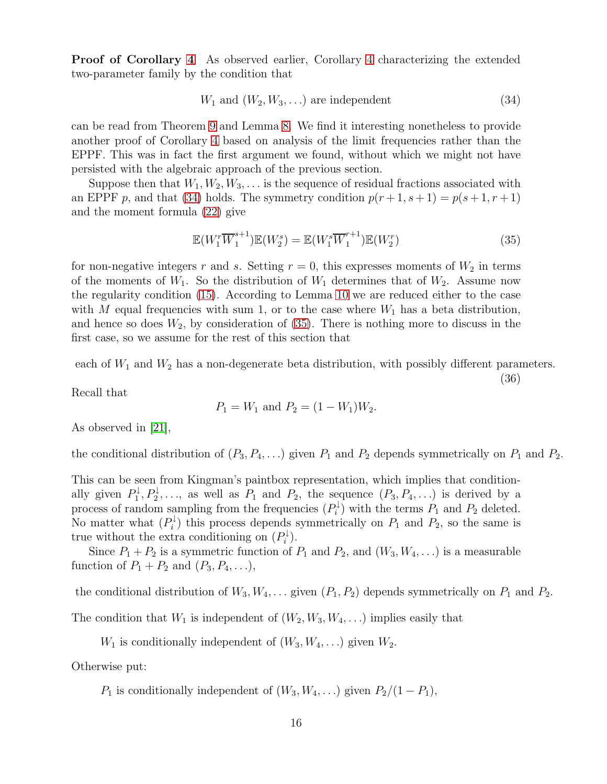Proof of Corollary [4](#page-7-2) As observed earlier, Corollary [4](#page-7-2) characterizing the extended two-parameter family by the condition that

<span id="page-15-0"></span>
$$
W_1 \text{ and } (W_2, W_3, \ldots) \text{ are independent } (34)
$$

can be read from Theorem [9](#page-11-2) and Lemma [8.](#page-10-4) We find it interesting nonetheless to provide another proof of Corollary [4](#page-7-2) based on analysis of the limit frequencies rather than the EPPF. This was in fact the first argument we found, without which we might not have persisted with the algebraic approach of the previous section.

Suppose then that  $W_1, W_2, W_3, \ldots$  is the sequence of residual fractions associated with an EPPF p, and that [\(34\)](#page-15-0) holds. The symmetry condition  $p(r+1, s+1) = p(s+1, r+1)$ and the moment formula [\(22\)](#page-8-2) give

<span id="page-15-1"></span>
$$
\mathbb{E}(W_1^r \overline{W}_1^{s+1}) \mathbb{E}(W_2^s) = \mathbb{E}(W_1^s \overline{W}_1^{r+1}) \mathbb{E}(W_2^r)
$$
\n(35)

for non-negative integers r and s. Setting  $r = 0$ , this expresses moments of  $W_2$  in terms of the moments of  $W_1$ . So the distribution of  $W_1$  determines that of  $W_2$ . Assume now the regularity condition [\(15\)](#page-6-2). According to Lemma [10](#page-12-1) we are reduced either to the case with M equal frequencies with sum 1, or to the case where  $W_1$  has a beta distribution, and hence so does  $W_2$ , by consideration of  $(35)$ . There is nothing more to discuss in the first case, so we assume for the rest of this section that

<span id="page-15-2"></span>each of  $W_1$  and  $W_2$  has a non-degenerate beta distribution, with possibly different parameters. (36)

Recall that

$$
P_1 = W_1
$$
 and  $P_2 = (1 - W_1)W_2$ .

As observed in [\[21\]](#page-27-1),

the conditional distribution of  $(P_3, P_4, \ldots)$  given  $P_1$  and  $P_2$  depends symmetrically on  $P_1$  and  $P_2$ .

This can be seen from Kingman's paintbox representation, which implies that conditionally given  $P_1^{\downarrow}$  $P_1^{\downarrow}, P_2^{\downarrow}, \ldots$ , as well as  $P_1$  and  $P_2$ , the sequence  $(P_3, P_4, \ldots)$  is derived by a process of random sampling from the frequencies  $(P_i^{\downarrow})$  $P_i^{\downarrow}$ ) with the terms  $P_1$  and  $P_2$  deleted. No matter what  $(P_i^{\downarrow})$  $P_i^{\downarrow}$  this process depends symmetrically on  $P_1$  and  $P_2$ , so the same is true without the extra conditioning on  $(P_i^{\downarrow})$  $i^{\downarrow}$ ).

Since  $P_1 + P_2$  is a symmetric function of  $P_1$  and  $P_2$ , and  $(W_3, W_4, ...)$  is a measurable function of  $P_1 + P_2$  and  $(P_3, P_4, \ldots)$ ,

the conditional distribution of  $W_3, W_4, \ldots$  given  $(P_1, P_2)$  depends symmetrically on  $P_1$  and  $P_2$ .

The condition that  $W_1$  is independent of  $(W_2, W_3, W_4, \ldots)$  implies easily that

 $W_1$  is conditionally independent of  $(W_3, W_4, \ldots)$  given  $W_2$ .

Otherwise put:

 $P_1$  is conditionally independent of  $(W_3, W_4, ...)$  given  $P_2/(1 - P_1)$ ,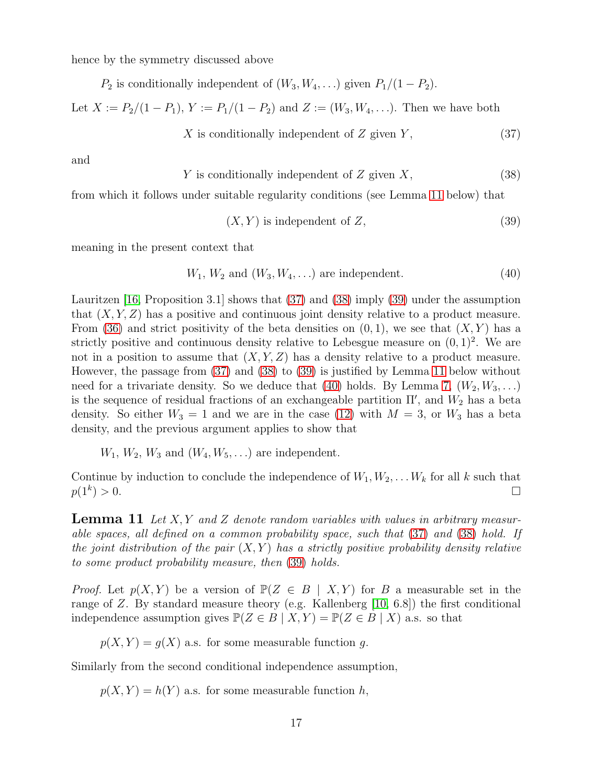hence by the symmetry discussed above

 $P_2$  is conditionally independent of  $(W_3, W_4, ...)$  given  $P_1/(1 - P_2)$ .

Let  $X := P_2/(1 - P_1)$ ,  $Y := P_1/(1 - P_2)$  and  $Z := (W_3, W_4, \ldots)$ . Then we have both

<span id="page-16-1"></span>
$$
X \text{ is conditionally independent of } Z \text{ given } Y,
$$
\n
$$
(37)
$$

and

<span id="page-16-2"></span>
$$
Y \text{ is conditionally independent of } Z \text{ given } X,
$$
\n
$$
(38)
$$

from which it follows under suitable regularity conditions (see Lemma [11](#page-16-0) below) that

<span id="page-16-3"></span>
$$
(X, Y) \text{ is independent of } Z,\tag{39}
$$

meaning in the present context that

<span id="page-16-4"></span>
$$
W_1, W_2 \text{ and } (W_3, W_4, \ldots) \text{ are independent.}
$$
\n
$$
(40)
$$

Lauritzen [\[16,](#page-27-13) Proposition 3.1] shows that [\(37\)](#page-16-1) and [\(38\)](#page-16-2) imply [\(39\)](#page-16-3) under the assumption that  $(X, Y, Z)$  has a positive and continuous joint density relative to a product measure. From [\(36\)](#page-15-2) and strict positivity of the beta densities on  $(0, 1)$ , we see that  $(X, Y)$  has a strictly positive and continuous density relative to Lebesgue measure on  $(0, 1)^2$ . We are not in a position to assume that  $(X, Y, Z)$  has a density relative to a product measure. However, the passage from [\(37\)](#page-16-1) and [\(38\)](#page-16-2) to [\(39\)](#page-16-3) is justified by Lemma [11](#page-16-0) below without need for a trivariate density. So we deduce that [\(40\)](#page-16-4) holds. By Lemma [7,](#page-9-0)  $(W_2, W_3, \ldots)$ is the sequence of residual fractions of an exchangeable partition  $\Pi'$ , and  $W_2$  has a beta density. So either  $W_3 = 1$  and we are in the case [\(12\)](#page-5-2) with  $M = 3$ , or  $W_3$  has a beta density, and the previous argument applies to show that

 $W_1, W_2, W_3$  and  $(W_4, W_5, ...)$  are independent.

Continue by induction to conclude the independence of  $W_1, W_2, \ldots W_k$  for all k such that  $p(1^k) > 0.$  $) > 0.$ 

<span id="page-16-0"></span>Lemma 11 *Let* X, Y *and* Z *denote random variables with values in arbitrary measurable spaces, all defined on a common probability space, such that* [\(37\)](#page-16-1) *and* [\(38\)](#page-16-2) *hold. If the joint distribution of the pair*  $(X, Y)$  *has a strictly positive probability density relative to some product probability measure, then* [\(39\)](#page-16-3) *holds.*

*Proof.* Let  $p(X, Y)$  be a version of  $\mathbb{P}(Z \in B | X, Y)$  for B a measurable set in the range of Z. By standard measure theory (e.g. Kallenberg [\[10,](#page-26-8) 6.8]) the first conditional independence assumption gives  $\mathbb{P}(Z \in B | X, Y) = \mathbb{P}(Z \in B | X)$  a.s. so that

 $p(X, Y) = g(X)$  a.s. for some measurable function g.

Similarly from the second conditional independence assumption,

 $p(X, Y) = h(Y)$  a.s. for some measurable function h,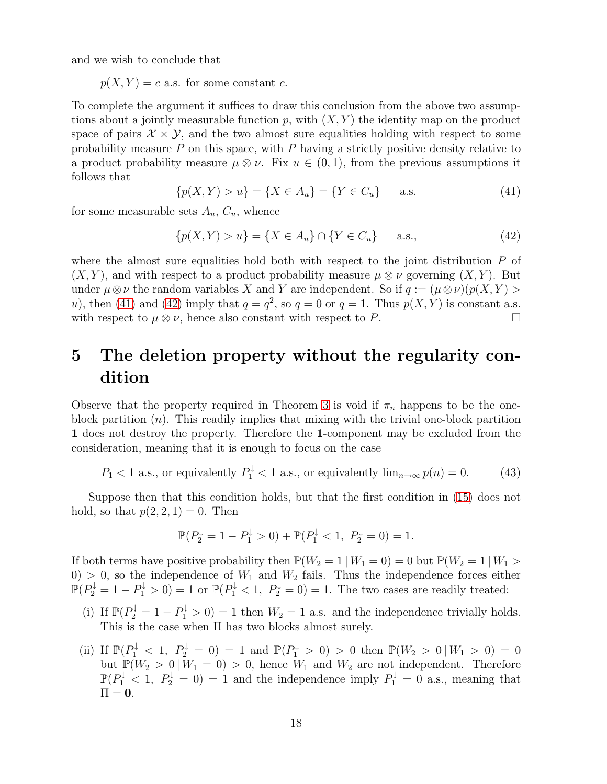and we wish to conclude that

 $p(X, Y) = c$  a.s. for some constant c.

To complete the argument it suffices to draw this conclusion from the above two assumptions about a jointly measurable function p, with  $(X, Y)$  the identity map on the product space of pairs  $\mathcal{X} \times \mathcal{Y}$ , and the two almost sure equalities holding with respect to some probability measure  $P$  on this space, with  $P$  having a strictly positive density relative to a product probability measure  $\mu \otimes \nu$ . Fix  $u \in (0,1)$ , from the previous assumptions it follows that

<span id="page-17-1"></span>
$$
\{p(X,Y) > u\} = \{X \in A_u\} = \{Y \in C_u\} \quad \text{a.s.} \tag{41}
$$

for some measurable sets  $A_u$ ,  $C_u$ , whence

<span id="page-17-2"></span>
$$
\{p(X,Y) > u\} = \{X \in A_u\} \cap \{Y \in C_u\} \quad \text{a.s.,}
$$
\n(42)

where the almost sure equalities hold both with respect to the joint distribution  $P$  of  $(X, Y)$ , and with respect to a product probability measure  $\mu \otimes \nu$  governing  $(X, Y)$ . But under  $\mu \otimes \nu$  the random variables X and Y are independent. So if  $q := (\mu \otimes \nu)(p(X, Y))$ u), then [\(41\)](#page-17-1) and [\(42\)](#page-17-2) imply that  $q = q^2$ , so  $q = 0$  or  $q = 1$ . Thus  $p(X, Y)$  is constant a.s. with respect to  $\mu \otimes \nu$ , hence also constant with respect to P.

## <span id="page-17-0"></span>5 The deletion property without the regularity condition

Observe that the property required in Theorem [3](#page-6-0) is void if  $\pi_n$  happens to be the oneblock partition  $(n)$ . This readily implies that mixing with the trivial one-block partition 1 does not destroy the property. Therefore the 1-component may be excluded from the consideration, meaning that it is enough to focus on the case

$$
P_1 < 1 \text{ a.s., or equivalently } P_1^{\downarrow} < 1 \text{ a.s., or equivalently } \lim_{n \to \infty} p(n) = 0.
$$
 (43)

Suppose then that this condition holds, but that the first condition in [\(15\)](#page-6-2) does not hold, so that  $p(2, 2, 1) = 0$ . Then

$$
\mathbb{P}(P_2^{\downarrow} = 1 - P_1^{\downarrow} > 0) + \mathbb{P}(P_1^{\downarrow} < 1, P_2^{\downarrow} = 0) = 1.
$$

If both terms have positive probability then  $\mathbb{P}(W_2 = 1 | W_1 = 0) = 0$  but  $\mathbb{P}(W_2 = 1 | W_1 >$  $0 > 0$ , so the independence of  $W_1$  and  $W_2$  fails. Thus the independence forces either  $\mathbb{P}(P_2^{\downarrow} = 1 - P_1^{\downarrow} > 0) = 1$  or  $\mathbb{P}(P_1^{\downarrow} < 1, P_2^{\downarrow} = 0) = 1$ . The two cases are readily treated:

- (i) If  $\mathbb{P}(P_2^{\downarrow} = 1 P_1^{\downarrow} > 0) = 1$  then  $W_2 = 1$  a.s. and the independence trivially holds. This is the case when Π has two blocks almost surely.
- (ii) If  $\mathbb{P}(P_1^{\downarrow} < 1, P_2^{\downarrow} = 0) = 1$  and  $\mathbb{P}(P_1^{\downarrow} > 0) > 0$  then  $\mathbb{P}(W_2 > 0 | W_1 > 0) = 0$ but  $\mathbb{P}(W_2 > 0 | W_1 = 0) > 0$ , hence  $W_1$  and  $W_2$  are not independent. Therefore  $\mathbb{P}(P_1^{\downarrow} < 1, P_2^{\downarrow} = 0) = 1$  and the independence imply  $P_1^{\downarrow} = 0$  a.s., meaning that  $\Pi = 0$ .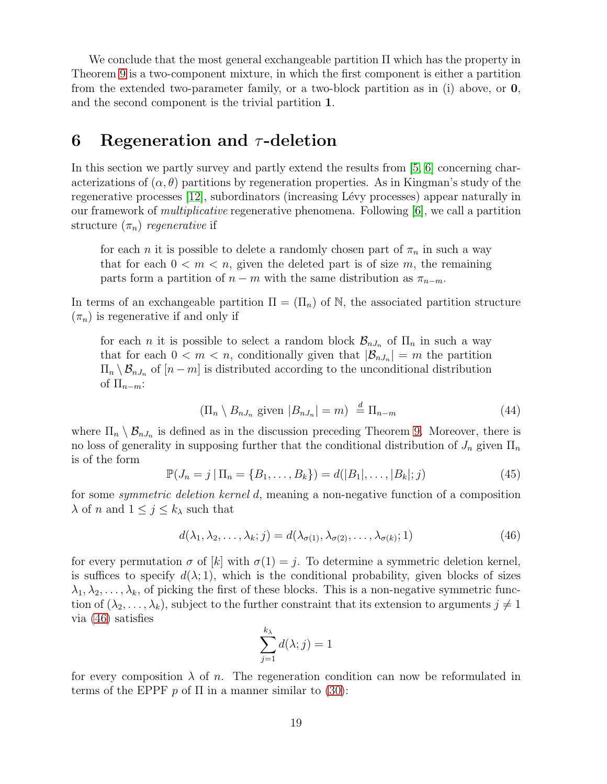We conclude that the most general exchangeable partition Π which has the property in Theorem [9](#page-11-2) is a two-component mixture, in which the first component is either a partition from the extended two-parameter family, or a two-block partition as in (i) above, or 0, and the second component is the trivial partition 1.

#### <span id="page-18-0"></span>6 Regeneration and  $\tau$ -deletion

In this section we partly survey and partly extend the results from [\[5,](#page-26-9) [6\]](#page-26-3) concerning characterizations of  $(\alpha, \theta)$  partitions by regeneration properties. As in Kingman's study of the regenerative processes [\[12\]](#page-26-4), subordinators (increasing Lévy processes) appear naturally in our framework of *multiplicative* regenerative phenomena. Following [\[6\]](#page-26-3), we call a partition structure  $(\pi_n)$  *regenerative* if

for each *n* it is possible to delete a randomly chosen part of  $\pi_n$  in such a way that for each  $0 < m < n$ , given the deleted part is of size m, the remaining parts form a partition of  $n - m$  with the same distribution as  $\pi_{n-m}$ .

In terms of an exchangeable partition  $\Pi = (\Pi_n)$  of N, the associated partition structure  $(\pi_n)$  is regenerative if and only if

for each *n* it is possible to select a random block  $\mathcal{B}_{nJ_n}$  of  $\Pi_n$  in such a way that for each  $0 < m < n$ , conditionally given that  $|\mathcal{B}_{nJ_n}| = m$  the partition  $\Pi_n \setminus \mathcal{B}_{nJ_n}$  of  $[n-m]$  is distributed according to the unconditional distribution of  $\Pi_{n-m}$ :

$$
(\Pi_n \setminus B_{nJ_n} \text{ given } |B_{nJ_n}| = m) \stackrel{d}{=} \Pi_{n-m} \tag{44}
$$

where  $\Pi_n \setminus \mathcal{B}_{nJ_n}$  is defined as in the discussion preceding Theorem [9.](#page-11-2) Moreover, there is no loss of generality in supposing further that the conditional distribution of  $J_n$  given  $\Pi_n$ is of the form

<span id="page-18-2"></span>
$$
\mathbb{P}(J_n = j | \Pi_n = \{B_1, \dots, B_k\}) = d(|B_1|, \dots, |B_k|; j)
$$
\n(45)

for some *symmetric deletion kernel* d, meaning a non-negative function of a composition  $\lambda$  of n and  $1 \leq j \leq k_{\lambda}$  such that

<span id="page-18-1"></span>
$$
d(\lambda_1, \lambda_2, \dots, \lambda_k; j) = d(\lambda_{\sigma(1)}, \lambda_{\sigma(2)}, \dots, \lambda_{\sigma(k)}; 1)
$$
\n(46)

for every permutation  $\sigma$  of  $[k]$  with  $\sigma(1) = i$ . To determine a symmetric deletion kernel, is suffices to specify  $d(\lambda; 1)$ , which is the conditional probability, given blocks of sizes  $\lambda_1, \lambda_2, \ldots, \lambda_k$ , of picking the first of these blocks. This is a non-negative symmetric function of  $(\lambda_2, \ldots, \lambda_k)$ , subject to the further constraint that its extension to arguments  $j \neq 1$ via [\(46\)](#page-18-1) satisfies

$$
\sum_{j=1}^{k_{\lambda}} d(\lambda; j) = 1
$$

for every composition  $\lambda$  of n. The regeneration condition can now be reformulated in terms of the EPPF p of  $\Pi$  in a manner similar to [\(30\)](#page-11-3):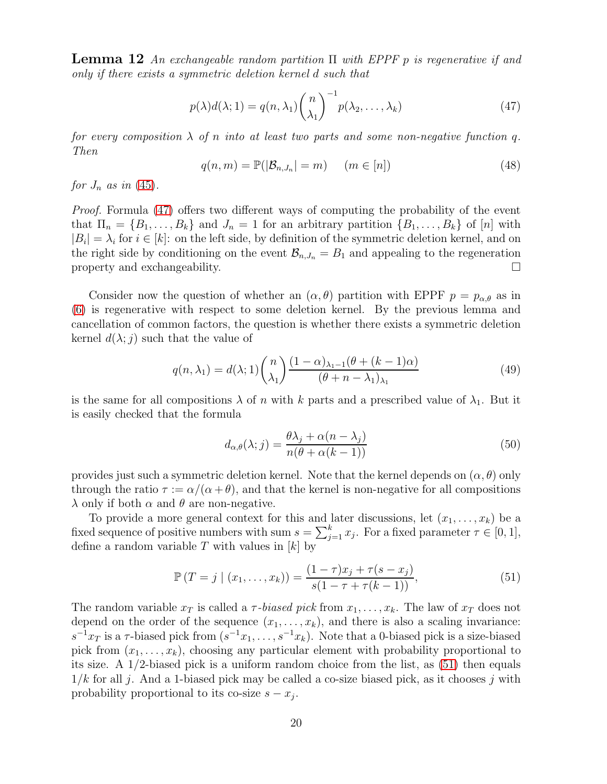Lemma 12 *An exchangeable random partition* Π *with EPPF* p *is regenerative if and only if there exists a symmetric deletion kernel* d *such that*

<span id="page-19-0"></span>
$$
p(\lambda)d(\lambda;1) = q(n,\lambda_1) {n \choose \lambda_1}^{-1} p(\lambda_2,\ldots,\lambda_k)
$$
 (47)

*for every composition*  $\lambda$  *of* n *into* at least two parts and some non-negative function q. *Then*

<span id="page-19-4"></span>
$$
q(n,m) = \mathbb{P}(|\mathcal{B}_{n,J_n}| = m) \quad (m \in [n]) \tag{48}
$$

*for*  $J_n$  *as in* [\(45\)](#page-18-2).

*Proof.* Formula [\(47\)](#page-19-0) offers two different ways of computing the probability of the event that  $\Pi_n = \{B_1, \ldots, B_k\}$  and  $J_n = 1$  for an arbitrary partition  $\{B_1, \ldots, B_k\}$  of  $[n]$  with  $|B_i| = \lambda_i$  for  $i \in [k]$ : on the left side, by definition of the symmetric deletion kernel, and on the right side by conditioning on the event  $\mathcal{B}_{n,J_n} = B_1$  and appealing to the regeneration property and exchangeability.  $\Box$ 

Consider now the question of whether an  $(\alpha, \theta)$  partition with EPPF  $p = p_{\alpha,\theta}$  as in [\(6\)](#page-4-1) is regenerative with respect to some deletion kernel. By the previous lemma and cancellation of common factors, the question is whether there exists a symmetric deletion kernel  $d(\lambda; j)$  such that the value of

<span id="page-19-2"></span>
$$
q(n,\lambda_1) = d(\lambda;1) \binom{n}{\lambda_1} \frac{(1-\alpha)_{\lambda_1-1}(\theta + (k-1)\alpha)}{(\theta + n - \lambda_1)_{\lambda_1}} \tag{49}
$$

is the same for all compositions  $\lambda$  of n with k parts and a prescribed value of  $\lambda_1$ . But it is easily checked that the formula

<span id="page-19-3"></span>
$$
d_{\alpha,\theta}(\lambda;j) = \frac{\theta\lambda_j + \alpha(n-\lambda_j)}{n(\theta + \alpha(k-1))}
$$
\n(50)

provides just such a symmetric deletion kernel. Note that the kernel depends on  $(\alpha, \theta)$  only through the ratio  $\tau := \alpha/(\alpha + \theta)$ , and that the kernel is non-negative for all compositions  $\lambda$  only if both  $\alpha$  and  $\theta$  are non-negative.

To provide a more general context for this and later discussions, let  $(x_1, \ldots, x_k)$  be a fixed sequence of positive numbers with sum  $s = \sum_{j=1}^{k} x_j$ . For a fixed parameter  $\tau \in [0, 1]$ , define a random variable  $T$  with values in  $[k]$  by

<span id="page-19-1"></span>
$$
\mathbb{P}(T = j \mid (x_1, \dots, x_k)) = \frac{(1 - \tau)x_j + \tau(s - x_j)}{s(1 - \tau + \tau(k - 1))},\tag{51}
$$

The random variable  $x_T$  is called a  $\tau$ -biased pick from  $x_1, \ldots, x_k$ . The law of  $x_T$  does not depend on the order of the sequence  $(x_1, \ldots, x_k)$ , and there is also a scaling invariance:  $s^{-1}x_T$  is a  $\tau$ -biased pick from  $(s^{-1}x_1,\ldots,s^{-1}x_k)$ . Note that a 0-biased pick is a size-biased pick from  $(x_1, \ldots, x_k)$ , choosing any particular element with probability proportional to its size. A 1/2-biased pick is a uniform random choice from the list, as [\(51\)](#page-19-1) then equals  $1/k$  for all j. And a 1-biased pick may be called a co-size biased pick, as it chooses j with probability proportional to its co-size  $s - x_j$ .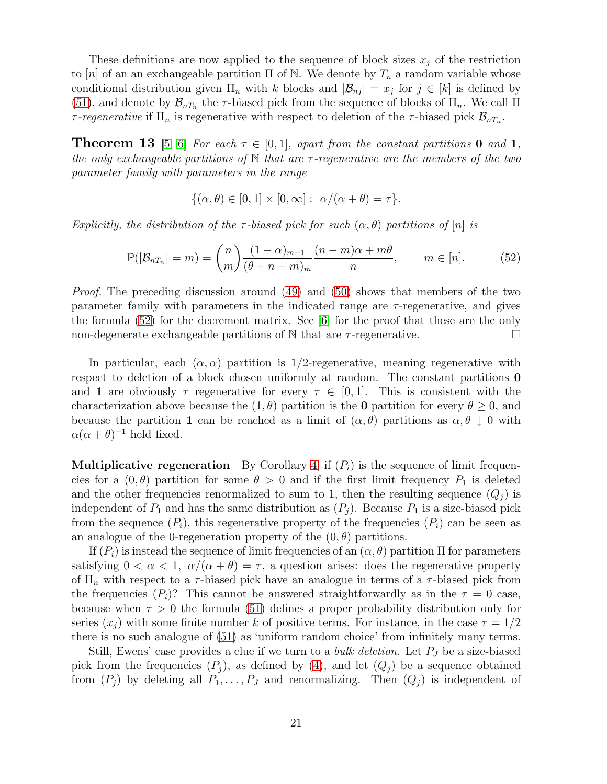These definitions are now applied to the sequence of block sizes  $x_j$  of the restriction to |n| of an an exchangeable partition  $\Pi$  of N. We denote by  $T_n$  a random variable whose conditional distribution given  $\Pi_n$  with k blocks and  $|\mathcal{B}_{nj}| = x_j$  for  $j \in [k]$  is defined by [\(51\)](#page-19-1), and denote by  $\mathcal{B}_{nT_n}$  the  $\tau$ -biased pick from the sequence of blocks of  $\Pi_n$ . We call  $\Pi$ *τ*-regenerative if  $\Pi_n$  is regenerative with respect to deletion of the *τ*-biased pick  $\mathcal{B}_{nT_n}$ .

**Theorem 13** [\[5,](#page-26-9) [6\]](#page-26-3) For each  $\tau \in [0, 1]$ , apart from the constant partitions 0 and 1, *the only exchangeable partitions of* N *that are* τ *-regenerative are the members of the two parameter family with parameters in the range*

$$
\{(\alpha,\theta)\in[0,1]\times[0,\infty]:\ \alpha/(\alpha+\theta)=\tau\}.
$$

*Explicitly, the distribution of the*  $\tau$ -biased pick for such  $(\alpha, \theta)$  partitions of  $[n]$  is

<span id="page-20-0"></span>
$$
\mathbb{P}(|\mathcal{B}_{nT_n}| = m) = {n \choose m} \frac{(1-\alpha)_{m-1}}{(\theta + n - m)_m} \frac{(n-m)\alpha + m\theta}{n}, \qquad m \in [n].
$$
 (52)

*Proof.* The preceding discussion around [\(49\)](#page-19-2) and [\(50\)](#page-19-3) shows that members of the two parameter family with parameters in the indicated range are  $\tau$ -regenerative, and gives the formula [\(52\)](#page-20-0) for the decrement matrix. See [\[6\]](#page-26-3) for the proof that these are the only non-degenerate exchangeable partitions of N that are  $\tau$ -regenerative.

In particular, each  $(\alpha, \alpha)$  partition is 1/2-regenerative, meaning regenerative with respect to deletion of a block chosen uniformly at random. The constant partitions 0 and 1 are obviously  $\tau$  regenerative for every  $\tau \in [0,1]$ . This is consistent with the characterization above because the  $(1, \theta)$  partition is the **0** partition for every  $\theta \geq 0$ , and because the partition 1 can be reached as a limit of  $(\alpha, \theta)$  partitions as  $\alpha, \theta \downarrow 0$  with  $\alpha(\alpha + \theta)^{-1}$  held fixed.

**Multiplicative regeneration** By Corollary [4,](#page-7-2) if  $(P_i)$  is the sequence of limit frequencies for a  $(0, \theta)$  partition for some  $\theta > 0$  and if the first limit frequency  $P_1$  is deleted and the other frequencies renormalized to sum to 1, then the resulting sequence  $(Q_i)$  is independent of  $P_1$  and has the same distribution as  $(P_i)$ . Because  $P_1$  is a size-biased pick from the sequence  $(P_i)$ , this regenerative property of the frequencies  $(P_i)$  can be seen as an analogue of the 0-regeneration property of the  $(0, \theta)$  partitions.

If  $(P_i)$  is instead the sequence of limit frequencies of an  $(\alpha, \theta)$  partition  $\Pi$  for parameters satisfying  $0 < \alpha < 1$ ,  $\alpha/(\alpha + \theta) = \tau$ , a question arises: does the regenerative property of  $\Pi_n$  with respect to a  $\tau$ -biased pick have an analogue in terms of a  $\tau$ -biased pick from the frequencies  $(P_i)$ ? This cannot be answered straightforwardly as in the  $\tau = 0$  case, because when  $\tau > 0$  the formula [\(51\)](#page-19-1) defines a proper probability distribution only for series  $(x_i)$  with some finite number k of positive terms. For instance, in the case  $\tau = 1/2$ there is no such analogue of [\(51\)](#page-19-1) as 'uniform random choice' from infinitely many terms.

Still, Ewens' case provides a clue if we turn to a *bulk deletion*. Let  $P_J$  be a size-biased pick from the frequencies  $(P_i)$ , as defined by [\(4\)](#page-4-3), and let  $(Q_i)$  be a sequence obtained from  $(P_i)$  by deleting all  $P_1, \ldots, P_J$  and renormalizing. Then  $(Q_i)$  is independent of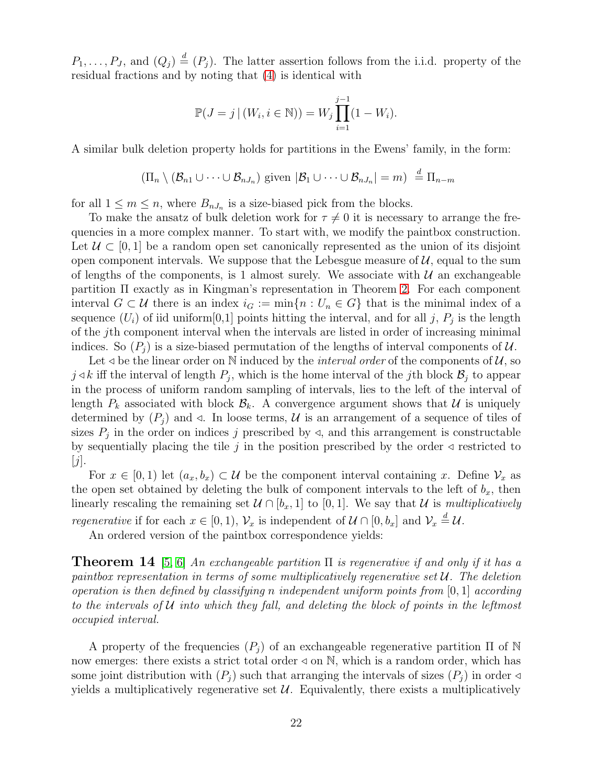$P_1, \ldots, P_J$ , and  $(Q_j) \stackrel{d}{=} (P_j)$ . The latter assertion follows from the i.i.d. property of the residual fractions and by noting that [\(4\)](#page-4-3) is identical with

$$
\mathbb{P}(J = j | (W_i, i \in \mathbb{N})) = W_j \prod_{i=1}^{j-1} (1 - W_i).
$$

A similar bulk deletion property holds for partitions in the Ewens' family, in the form:

$$
(\Pi_n \setminus (\mathcal{B}_{n1} \cup \cdots \cup \mathcal{B}_{nJ_n}) \text{ given } |\mathcal{B}_1 \cup \cdots \cup \mathcal{B}_{nJ_n}| = m) \stackrel{d}{=} \Pi_{n-m}
$$

for all  $1 \leq m \leq n$ , where  $B_{nJ_n}$  is a size-biased pick from the blocks.

To make the ansatz of bulk deletion work for  $\tau \neq 0$  it is necessary to arrange the frequencies in a more complex manner. To start with, we modify the paintbox construction. Let  $U \subset [0,1]$  be a random open set canonically represented as the union of its disjoint open component intervals. We suppose that the Lebesgue measure of  $\mathcal{U}$ , equal to the sum of lengths of the components, is 1 almost surely. We associate with  $\mathcal U$  an exchangeable partition Π exactly as in Kingman's representation in Theorem [2.](#page-3-1) For each component interval  $G \subset \mathcal{U}$  there is an index  $i_G := \min\{n : U_n \in G\}$  that is the minimal index of a sequence  $(U_i)$  of iid uniform [0,1] points hitting the interval, and for all j,  $P_j$  is the length of the jth component interval when the intervals are listed in order of increasing minimal indices. So  $(P_i)$  is a size-biased permutation of the lengths of interval components of U.

Let  $\triangleleft$  be the linear order on N induced by the *interval order* of the components of  $\mathcal{U}$ , so  $j \triangleleft k$  iff the interval of length  $P_j$ , which is the home interval of the j<sup>th</sup> block  $\mathcal{B}_j$  to appear in the process of uniform random sampling of intervals, lies to the left of the interval of length  $P_k$  associated with block  $\mathcal{B}_k$ . A convergence argument shows that U is uniquely determined by  $(P_j)$  and  $\triangleleft$ . In loose terms, U is an arrangement of a sequence of tiles of sizes  $P_j$  in the order on indices j prescribed by  $\triangleleft$ , and this arrangement is constructable by sequentially placing the tile j in the position prescribed by the order  $\triangleleft$  restricted to  $|j|.$ 

For  $x \in [0,1)$  let  $(a_x, b_x) \subset \mathcal{U}$  be the component interval containing x. Define  $\mathcal{V}_x$  as the open set obtained by deleting the bulk of component intervals to the left of  $b_x$ , then linearly rescaling the remaining set  $\mathcal{U} \cap [b_x, 1]$  to [0, 1]. We say that  $\mathcal{U}$  is *multiplicatively regenerative* if for each  $x \in [0, 1)$ ,  $\mathcal{V}_x$  is independent of  $\mathcal{U} \cap [0, b_x]$  and  $\mathcal{V}_x \stackrel{d}{=} \mathcal{U}$ .

<span id="page-21-0"></span>An ordered version of the paintbox correspondence yields:

Theorem 14 [\[5,](#page-26-9) [6\]](#page-26-3) *An exchangeable partition* Π *is regenerative if and only if it has a paintbox representation in terms of some multiplicatively regenerative set* U*. The deletion operation is then defined by classifying* n *independent uniform points from* [0, 1] *according to the intervals of* U *into which they fall, and deleting the block of points in the leftmost occupied interval.*

A property of the frequencies  $(P_j)$  of an exchangeable regenerative partition  $\Pi$  of N now emerges: there exists a strict total order  $\triangleleft$  on N, which is a random order, which has some joint distribution with  $(P_i)$  such that arranging the intervals of sizes  $(P_i)$  in order  $\triangleleft$ yields a multiplicatively regenerative set  $\mathcal{U}$ . Equivalently, there exists a multiplicatively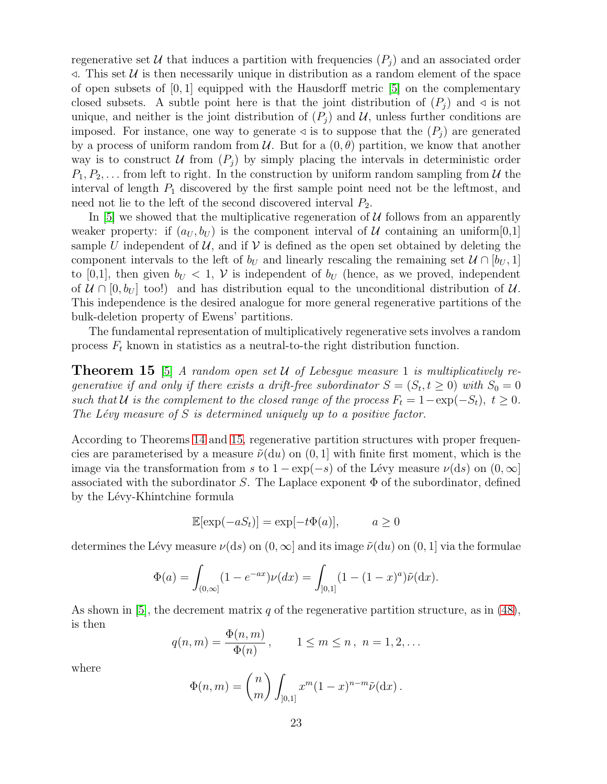regenerative set U that induces a partition with frequencies  $(P_i)$  and an associated order  $\triangleleft$ . This set U is then necessarily unique in distribution as a random element of the space of open subsets of  $[0, 1]$  equipped with the Hausdorff metric  $[5]$  on the complementary closed subsets. A subtle point here is that the joint distribution of  $(P_i)$  and  $\triangleleft$  is not unique, and neither is the joint distribution of  $(P_i)$  and U, unless further conditions are imposed. For instance, one way to generate  $\triangleleft$  is to suppose that the  $(P_i)$  are generated by a process of uniform random from  $\mathcal{U}$ . But for a  $(0, \theta)$  partition, we know that another way is to construct U from  $(P_i)$  by simply placing the intervals in deterministic order  $P_1, P_2, \ldots$  from left to right. In the construction by uniform random sampling from U the interval of length  $P_1$  discovered by the first sample point need not be the leftmost, and need not lie to the left of the second discovered interval  $P_2$ .

In [\[5\]](#page-26-9) we showed that the multiplicative regeneration of  $U$  follows from an apparently weaker property: if  $(a_U, b_U)$  is the component interval of U containing an uniform  $[0,1]$ sample U independent of U, and if V is defined as the open set obtained by deleting the component intervals to the left of  $b_U$  and linearly rescaling the remaining set  $\mathcal{U} \cap [b_U, 1]$ to [0,1], then given  $b_U < 1$ , V is independent of  $b_U$  (hence, as we proved, independent of  $\mathcal{U} \cap [0, b_U]$  too!) and has distribution equal to the unconditional distribution of  $\mathcal{U}$ . This independence is the desired analogue for more general regenerative partitions of the bulk-deletion property of Ewens' partitions.

<span id="page-22-0"></span>The fundamental representation of multiplicatively regenerative sets involves a random process  $F_t$  known in statistics as a neutral-to-the right distribution function.

Theorem 15 [\[5\]](#page-26-9) *A random open set* U *of Lebesgue measure* 1 *is multiplicatively regenerative if and only if there exists a drift-free subordinator*  $S = (S_t, t \ge 0)$  with  $S_0 = 0$ *such that*  $U$  *is the complement to the closed range of the process*  $F_t = 1 - \exp(-S_t)$ ,  $t \geq 0$ . *The Lévy measure of* S *is determined uniquely up to a positive factor.* 

According to Theorems [14](#page-21-0) and [15,](#page-22-0) regenerative partition structures with proper frequencies are parameterised by a measure  $\tilde{\nu}(\text{d}u)$  on  $(0, 1]$  with finite first moment, which is the image via the transformation from s to  $1 - \exp(-s)$  of the Lévy measure  $\nu(ds)$  on  $(0, \infty]$ associated with the subordinator S. The Laplace exponent  $\Phi$  of the subordinator, defined by the Lévy-Khintchine formula

$$
\mathbb{E}[\exp(-aS_t)] = \exp[-t\Phi(a)], \qquad a \ge 0
$$

determines the Lévy measure  $\nu(ds)$  on  $(0, \infty]$  and its image  $\tilde{\nu}(du)$  on  $(0, 1]$  via the formulae

$$
\Phi(a) = \int_{(0,\infty]} (1 - e^{-ax}) \nu(dx) = \int_{[0,1]} (1 - (1 - x)^a) \tilde{\nu}(dx).
$$

As shown in [\[5\]](#page-26-9), the decrement matrix q of the regenerative partition structure, as in  $(48)$ , is then

$$
q(n,m) = \frac{\Phi(n,m)}{\Phi(n)}, \qquad 1 \le m \le n, \ n = 1, 2, \dots
$$

where

$$
\Phi(n,m) = {n \choose m} \int_{]0,1]} x^m (1-x)^{n-m} \tilde{\nu}(\mathrm{d}x).
$$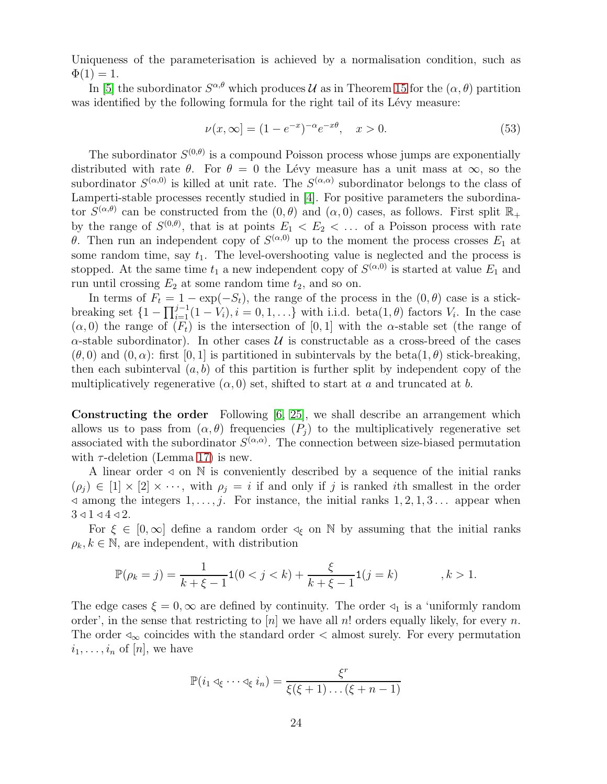Uniqueness of the parameterisation is achieved by a normalisation condition, such as  $\Phi(1) = 1.$ 

In [\[5\]](#page-26-9) the subordinator  $S^{\alpha,\theta}$  which produces U as in Theorem [15](#page-22-0) for the  $(\alpha,\theta)$  partition was identified by the following formula for the right tail of its Lévy measure:

<span id="page-23-0"></span>
$$
\nu(x,\infty) = (1 - e^{-x})^{-\alpha} e^{-x\theta}, \quad x > 0.
$$
\n(53)

The subordinator  $S^{(0,\theta)}$  is a compound Poisson process whose jumps are exponentially distributed with rate  $\theta$ . For  $\theta = 0$  the Lévy measure has a unit mass at  $\infty$ , so the subordinator  $S^{(\alpha,0)}$  is killed at unit rate. The  $S^{(\alpha,\alpha)}$  subordinator belongs to the class of Lamperti-stable processes recently studied in [\[4\]](#page-26-10). For positive parameters the subordinator  $S^{(\alpha,\theta)}$  can be constructed from the  $(0,\theta)$  and  $(\alpha,0)$  cases, as follows. First split  $\mathbb{R}_+$ by the range of  $S^{(0,\theta)}$ , that is at points  $E_1 \langle E_2 \rangle \langle \ldots \rangle$  of a Poisson process with rate θ. Then run an independent copy of  $S^{(\alpha,0)}$  up to the moment the process crosses  $E_1$  at some random time, say  $t_1$ . The level-overshooting value is neglected and the process is stopped. At the same time  $t_1$  a new independent copy of  $S^{(\alpha,0)}$  is started at value  $E_1$  and run until crossing  $E_2$  at some random time  $t_2$ , and so on.

In terms of  $F_t = 1 - \exp(-S_t)$ , the range of the process in the  $(0, \theta)$  case is a stickbreaking set  $\{1-\prod_{i=1}^{j-1}(1-V_i), i=0,1,\ldots\}$  with i.i.d. beta $(1,\theta)$  factors  $V_i$ . In the case  $(\alpha, 0)$  the range of  $(F_t)$  is the intersection of  $[0, 1]$  with the  $\alpha$ -stable set (the range of  $\alpha$ -stable subordinator). In other cases U is constructable as a cross-breed of the cases  $(\theta, 0)$  and  $(0, \alpha)$ : first [0, 1] is partitioned in subintervals by the beta(1,  $\theta$ ) stick-breaking, then each subinterval  $(a, b)$  of this partition is further split by independent copy of the multiplicatively regenerative  $(\alpha, 0)$  set, shifted to start at a and truncated at b.

Constructing the order Following [\[6,](#page-26-3) [25\]](#page-27-7), we shall describe an arrangement which allows us to pass from  $(\alpha, \theta)$  frequencies  $(P_i)$  to the multiplicatively regenerative set associated with the subordinator  $S^{(\alpha,\alpha)}$ . The connection between size-biased permutation with  $\tau$ -deletion (Lemma [17\)](#page-24-0) is new.

A linear order  $\triangleleft$  on N is conveniently described by a sequence of the initial ranks  $(\rho_j) \in [1] \times [2] \times \cdots$ , with  $\rho_j = i$  if and only if j is ranked ith smallest in the order  $\triangleleft$  among the integers  $1, \ldots, j$ . For instance, the initial ranks  $1, 2, 1, 3 \ldots$  appear when  $3 \triangleleft 1 \triangleleft 4 \triangleleft 2$ .

For  $\xi \in [0, \infty]$  define a random order  $\triangleleft_{\xi}$  on N by assuming that the initial ranks  $\rho_k, k \in \mathbb{N}$ , are independent, with distribution

$$
\mathbb{P}(\rho_k = j) = \frac{1}{k + \xi - 1} \mathbf{1}(0 < j < k) + \frac{\xi}{k + \xi - 1} \mathbf{1}(j = k) \quad k > 1.
$$

The edge cases  $\xi = 0$ ,  $\infty$  are defined by continuity. The order  $\triangleleft_1$  is a 'uniformly random order', in the sense that restricting to |n| we have all n! orders equally likely, for every n. The order  $\triangleleft_{\infty}$  coincides with the standard order  $\lt$  almost surely. For every permutation  $i_1, \ldots, i_n$  of  $[n]$ , we have

$$
\mathbb{P}(i_1 \triangleleft_{\xi} \cdots \triangleleft_{\xi} i_n) = \frac{\xi^r}{\xi(\xi+1)\dots(\xi+n-1)}
$$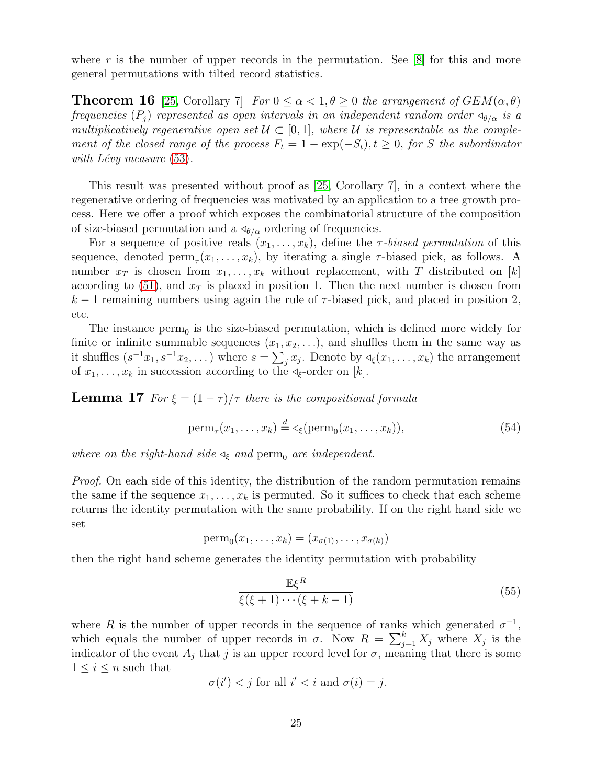<span id="page-24-3"></span>where r is the number of upper records in the permutation. See  $[8]$  for this and more general permutations with tilted record statistics.

**Theorem 16** [\[25,](#page-27-7) Corollary 7] *For*  $0 \le \alpha < 1, \theta \ge 0$  *the arrangement of*  $GEM(\alpha, \theta)$ *frequencies*  $(P_i)$  *represented as open intervals in an independent random order*  $\triangleleft_{\theta/\alpha}$  *is a multiplicatively regenerative open set*  $U \subset [0,1]$ *, where*  $U$  *is representable as the complement of the closed range of the process*  $F_t = 1 - \exp(-S_t)$ ,  $t \geq 0$ , *for* S *the subordinator with L´evy measure* [\(53\)](#page-23-0)*.*

This result was presented without proof as [\[25,](#page-27-7) Corollary 7], in a context where the regenerative ordering of frequencies was motivated by an application to a tree growth process. Here we offer a proof which exposes the combinatorial structure of the composition of size-biased permutation and a  $\triangleleft_{\theta/\alpha}$  ordering of frequencies.

For a sequence of positive reals  $(x_1, \ldots, x_k)$ , define the *τ*-biased permutation of this sequence, denoted  $\text{perm}_{\tau}(x_1,\ldots,x_k)$ , by iterating a single  $\tau$ -biased pick, as follows. A number  $x_T$  is chosen from  $x_1, \ldots, x_k$  without replacement, with T distributed on [k] according to  $(51)$ , and  $x<sub>T</sub>$  is placed in position 1. Then the next number is chosen from  $k-1$  remaining numbers using again the rule of  $\tau$ -biased pick, and placed in position 2, etc.

The instance  $\text{perm}_0$  is the size-biased permutation, which is defined more widely for finite or infinite summable sequences  $(x_1, x_2, \ldots)$ , and shuffles them in the same way as it shuffles  $(s^{-1}x_1, s^{-1}x_2, \dots)$  where  $s = \sum_j x_j$ . Denote by  $\triangleleft_{\xi}(x_1, \dots, x_k)$  the arrangement of  $x_1, \ldots, x_k$  in succession according to the  $\triangleleft_{\xi}$ -order on [k].

<span id="page-24-0"></span>**Lemma 17** *For*  $\xi = (1 - \tau)/\tau$  *there is the compositional formula* 

<span id="page-24-2"></span>
$$
\operatorname{perm}_{\tau}(x_1,\ldots,x_k) \stackrel{d}{=} \operatorname{Im}(x_1,\ldots,x_k)),\tag{54}
$$

*where on the right-hand side*  $\triangleleft_{\xi}$  *and* perm<sub>0</sub> *are independent.* 

*Proof.* On each side of this identity, the distribution of the random permutation remains the same if the sequence  $x_1, \ldots, x_k$  is permuted. So it suffices to check that each scheme returns the identity permutation with the same probability. If on the right hand side we set

$$
\mathrm{perm}_0(x_1,\ldots,x_k)=(x_{\sigma(1)},\ldots,x_{\sigma(k)})
$$

then the right hand scheme generates the identity permutation with probability

<span id="page-24-1"></span>
$$
\frac{\mathbb{E}\xi^R}{\xi(\xi+1)\cdots(\xi+k-1)}\tag{55}
$$

where R is the number of upper records in the sequence of ranks which generated  $\sigma^{-1}$ , which equals the number of upper records in  $\sigma$ . Now  $R = \sum_{j=1}^{k} X_j$  where  $X_j$  is the indicator of the event  $A_j$  that j is an upper record level for  $\sigma$ , meaning that there is some  $1 \leq i \leq n$  such that

$$
\sigma(i') < j \text{ for all } i' < i \text{ and } \sigma(i) = j.
$$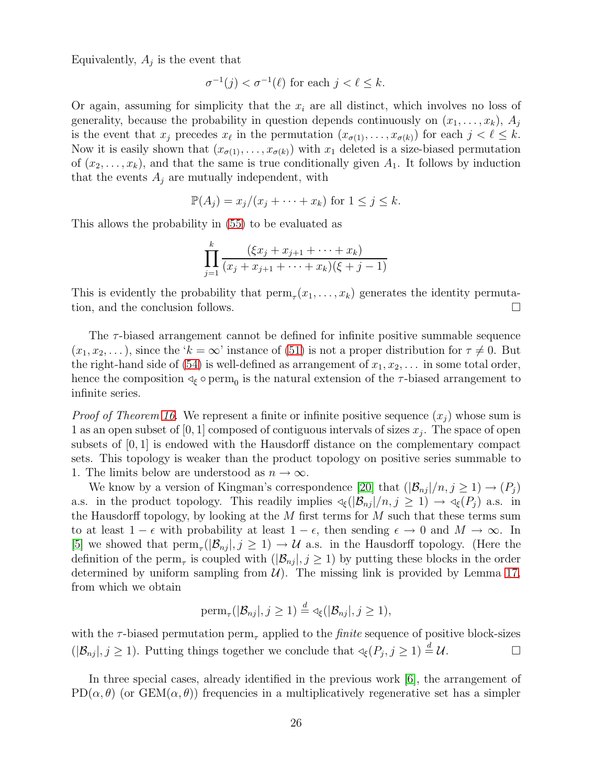Equivalently,  $A_j$  is the event that

$$
\sigma^{-1}(j) < \sigma^{-1}(\ell) \text{ for each } j < \ell \le k.
$$

Or again, assuming for simplicity that the  $x_i$  are all distinct, which involves no loss of generality, because the probability in question depends continuously on  $(x_1, \ldots, x_k)$ ,  $A_i$ is the event that  $x_j$  precedes  $x_\ell$  in the permutation  $(x_{\sigma(1)}, \ldots, x_{\sigma(k)})$  for each  $j < \ell \leq k$ . Now it is easily shown that  $(x_{\sigma(1)},...,x_{\sigma(k)})$  with  $x_1$  deleted is a size-biased permutation of  $(x_2, \ldots, x_k)$ , and that the same is true conditionally given  $A_1$ . It follows by induction that the events  $A_j$  are mutually independent, with

$$
\mathbb{P}(A_j) = x_j/(x_j + \dots + x_k) \text{ for } 1 \le j \le k.
$$

This allows the probability in [\(55\)](#page-24-1) to be evaluated as

$$
\prod_{j=1}^k \frac{(\xi x_j + x_{j+1} + \dots + x_k)}{(x_j + x_{j+1} + \dots + x_k)(\xi + j - 1)}
$$

This is evidently the probability that  $\text{perm}_{\tau}(x_1,\ldots,x_k)$  generates the identity permutation, and the conclusion follows.

The  $\tau$ -biased arrangement cannot be defined for infinite positive summable sequence  $(x_1, x_2, \ldots)$ , since the ' $k = \infty$ ' instance of [\(51\)](#page-19-1) is not a proper distribution for  $\tau \neq 0$ . But the right-hand side of [\(54\)](#page-24-2) is well-defined as arrangement of  $x_1, x_2, \ldots$  in some total order, hence the composition  $\triangleleft_{\xi} \circ \text{perm}_{0}$  is the natural extension of the  $\tau$ -biased arrangement to infinite series.

*Proof of Theorem [16.](#page-24-3)* We represent a finite or infinite positive sequence  $(x_i)$  whose sum is 1 as an open subset of  $[0,1]$  composed of contiguous intervals of sizes  $x_j$ . The space of open subsets of  $[0, 1]$  is endowed with the Hausdorff distance on the complementary compact sets. This topology is weaker than the product topology on positive series summable to 1. The limits below are understood as  $n \to \infty$ .

We know by a version of Kingman's correspondence [\[20\]](#page-27-6) that  $(|\mathcal{B}_{nj}|/n, j \geq 1) \rightarrow (P_j)$ a.s. in the product topology. This readily implies  $\lll (\mathcal{B}_{nj} |/n, j \geq 1) \rightarrow \lll (P_j)$  a.s. in the Hausdorff topology, by looking at the  $M$  first terms for  $M$  such that these terms sum to at least  $1 - \epsilon$  with probability at least  $1 - \epsilon$ , then sending  $\epsilon \to 0$  and  $M \to \infty$ . In [\[5\]](#page-26-9) we showed that  $\text{perm}_{\tau}(|\mathcal{B}_{nj}|, j \geq 1) \to \mathcal{U}$  a.s. in the Hausdorff topology. (Here the definition of the perm<sub> $\tau$ </sub> is coupled with  $(|\mathcal{B}_{nj}|, j \geq 1)$  by putting these blocks in the order determined by uniform sampling from  $\mathcal{U}$ ). The missing link is provided by Lemma [17,](#page-24-0) from which we obtain

$$
\mathrm{perm}_{\tau}(|\mathcal{B}_{nj}|, j \geq 1) \stackrel{d}{=} \triangleleft_{\xi}(|\mathcal{B}_{nj}|, j \geq 1),
$$

with the  $\tau$ -biased permutation perm<sub> $\tau$ </sub> applied to the *finite* sequence of positive block-sizes  $(|\mathcal{B}_{nj}|, j \geq 1)$ . Putting things together we conclude that  $\mathcal{A}_{\xi}(P_j, j \geq 1) \stackrel{d}{=} \mathcal{U}$ .

In three special cases, already identified in the previous work [\[6\]](#page-26-3), the arrangement of PD( $\alpha$ ,  $\theta$ ) (or GEM( $\alpha$ ,  $\theta$ )) frequencies in a multiplicatively regenerative set has a simpler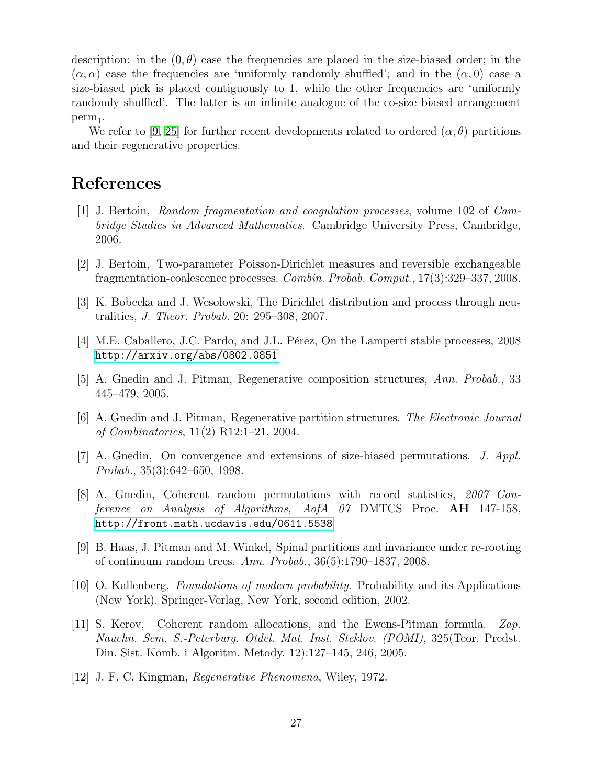description: in the  $(0, \theta)$  case the frequencies are placed in the size-biased order; in the  $(\alpha, \alpha)$  case the frequencies are 'uniformly randomly shuffled'; and in the  $(\alpha, 0)$  case a size-biased pick is placed contiguously to 1, while the other frequencies are 'uniformly randomly shuffled'. The latter is an infinite analogue of the co-size biased arrangement  $perm_1.$ 

We refer to [\[9,](#page-26-0) [25\]](#page-27-7) for further recent developments related to ordered  $(\alpha, \theta)$  partitions and their regenerative properties.

### <span id="page-26-1"></span>References

- [1] J. Bertoin, *Random fragmentation and coagulation processes*, volume 102 of *Cambridge Studies in Advanced Mathematics*. Cambridge University Press, Cambridge, 2006.
- <span id="page-26-7"></span><span id="page-26-2"></span>[2] J. Bertoin, Two-parameter Poisson-Dirichlet measures and reversible exchangeable fragmentation-coalescence processes. *Combin. Probab. Comput.*, 17(3):329–337, 2008.
- <span id="page-26-10"></span>[3] K. Bobecka and J. Wesolowski, The Dirichlet distribution and process through neutralities, *J. Theor. Probab.* 20: 295–308, 2007.
- <span id="page-26-9"></span>[4] M.E. Caballero, J.C. Pardo, and J.L. Pérez, On the Lamperti stable processes, 2008 <http://arxiv.org/abs/0802.0851>
- <span id="page-26-3"></span>[5] A. Gnedin and J. Pitman, Regenerative composition structures, *Ann. Probab.*, 33 445–479, 2005.
- <span id="page-26-5"></span>[6] A. Gnedin and J. Pitman, Regenerative partition structures. *The Electronic Journal of Combinatorics*, 11(2) R12:1–21, 2004.
- <span id="page-26-11"></span>[7] A. Gnedin, On convergence and extensions of size-biased permutations. *J. Appl. Probab.*, 35(3):642–650, 1998.
- [8] A. Gnedin, Coherent random permutations with record statistics, *2007 Conference on Analysis of Algorithms, AofA 07* DMTCS Proc. AH 147-158, <http://front.math.ucdavis.edu/0611.5538>
- <span id="page-26-0"></span>[9] B. Haas, J. Pitman and M. Winkel, Spinal partitions and invariance under re-rooting of continuum random trees. *Ann. Probab.*, 36(5):1790–1837, 2008.
- <span id="page-26-8"></span>[10] O. Kallenberg, *Foundations of modern probability*. Probability and its Applications (New York). Springer-Verlag, New York, second edition, 2002.
- <span id="page-26-6"></span>[11] S. Kerov, Coherent random allocations, and the Ewens-Pitman formula. *Zap. Nauchn. Sem. S.-Peterburg. Otdel. Mat. Inst. Steklov. (POMI)*, 325(Teor. Predst. Din. Sist. Komb. i Algoritm. Metody. 12):127–145, 246, 2005.
- <span id="page-26-4"></span>[12] J. F. C. Kingman, *Regenerative Phenomena*, Wiley, 1972.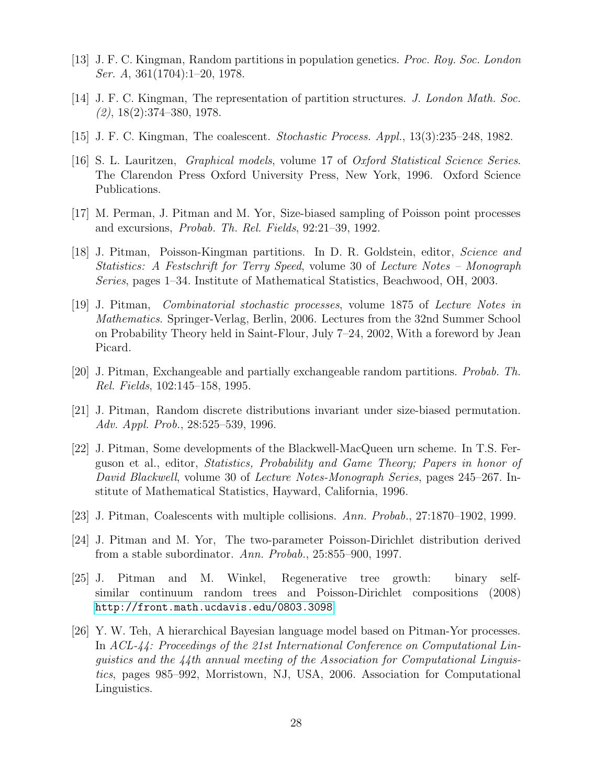- <span id="page-27-5"></span><span id="page-27-0"></span>[13] J. F. C. Kingman, Random partitions in population genetics. *Proc. Roy. Soc. London Ser. A*, 361(1704):1–20, 1978.
- <span id="page-27-8"></span>[14] J. F. C. Kingman, The representation of partition structures. *J. London Math. Soc. (2)*, 18(2):374–380, 1978.
- <span id="page-27-13"></span>[15] J. F. C. Kingman, The coalescent. *Stochastic Process. Appl.*, 13(3):235–248, 1982.
- [16] S. L. Lauritzen, *Graphical models*, volume 17 of *Oxford Statistical Science Series*. The Clarendon Press Oxford University Press, New York, 1996. Oxford Science Publications.
- <span id="page-27-11"></span><span id="page-27-10"></span>[17] M. Perman, J. Pitman and M. Yor, Size-biased sampling of Poisson point processes and excursions, *Probab. Th. Rel. Fields*, 92:21–39, 1992.
- [18] J. Pitman, Poisson-Kingman partitions. In D. R. Goldstein, editor, *Science and Statistics: A Festschrift for Terry Speed*, volume 30 of *Lecture Notes – Monograph Series*, pages 1–34. Institute of Mathematical Statistics, Beachwood, OH, 2003.
- <span id="page-27-12"></span>[19] J. Pitman, *Combinatorial stochastic processes*, volume 1875 of *Lecture Notes in Mathematics*. Springer-Verlag, Berlin, 2006. Lectures from the 32nd Summer School on Probability Theory held in Saint-Flour, July 7–24, 2002, With a foreword by Jean Picard.
- <span id="page-27-6"></span><span id="page-27-1"></span>[20] J. Pitman, Exchangeable and partially exchangeable random partitions. *Probab. Th. Rel. Fields*, 102:145–158, 1995.
- <span id="page-27-2"></span>[21] J. Pitman, Random discrete distributions invariant under size-biased permutation. *Adv. Appl. Prob.*, 28:525–539, 1996.
- [22] J. Pitman, Some developments of the Blackwell-MacQueen urn scheme. In T.S. Ferguson et al., editor, *Statistics, Probability and Game Theory; Papers in honor of David Blackwell*, volume 30 of *Lecture Notes-Monograph Series*, pages 245–267. Institute of Mathematical Statistics, Hayward, California, 1996.
- <span id="page-27-9"></span><span id="page-27-3"></span>[23] J. Pitman, Coalescents with multiple collisions. *Ann. Probab.*, 27:1870–1902, 1999.
- <span id="page-27-7"></span>[24] J. Pitman and M. Yor, The two-parameter Poisson-Dirichlet distribution derived from a stable subordinator. *Ann. Probab.*, 25:855–900, 1997.
- [25] J. Pitman and M. Winkel, Regenerative tree growth: binary selfsimilar continuum random trees and Poisson-Dirichlet compositions (2008) <http://front.math.ucdavis.edu/0803.3098>
- <span id="page-27-4"></span>[26] Y. W. Teh, A hierarchical Bayesian language model based on Pitman-Yor processes. In *ACL-44: Proceedings of the 21st International Conference on Computational Linguistics and the 44th annual meeting of the Association for Computational Linguistics*, pages 985–992, Morristown, NJ, USA, 2006. Association for Computational Linguistics.